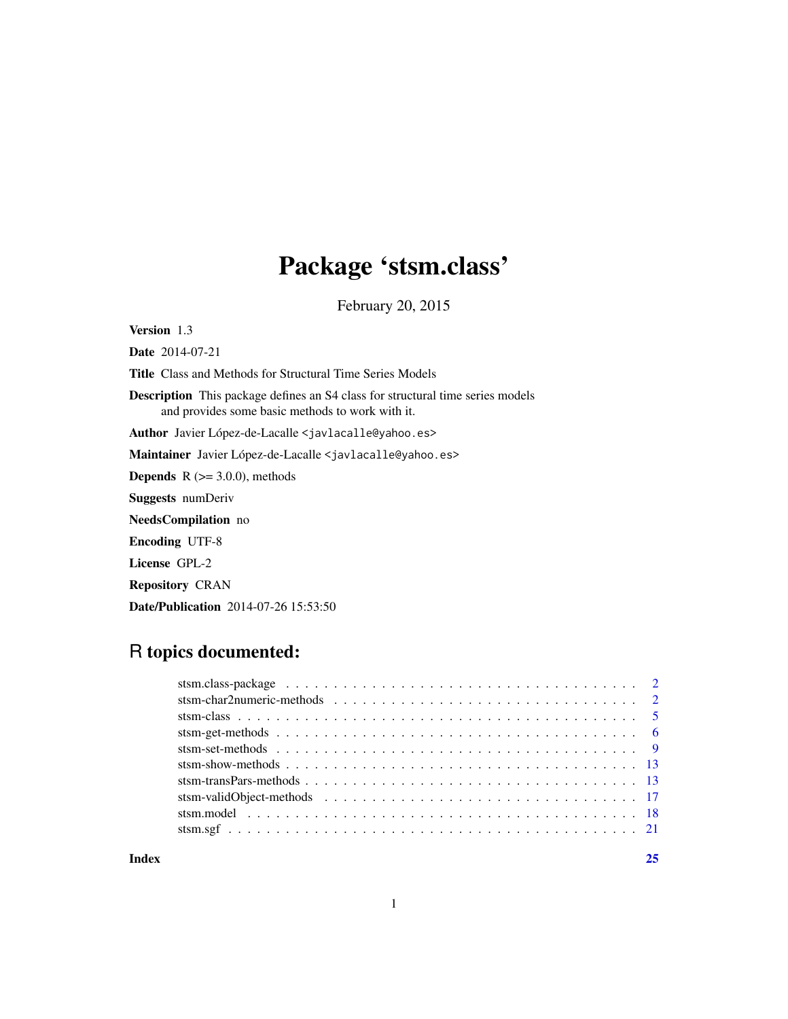# Package 'stsm.class'

February 20, 2015

<span id="page-0-0"></span>Version 1.3

Date 2014-07-21

Title Class and Methods for Structural Time Series Models

Description This package defines an S4 class for structural time series models and provides some basic methods to work with it.

Author Javier López-de-Lacalle <javlacalle@yahoo.es>

Maintainer Javier López-de-Lacalle <javlacalle@yahoo.es>

**Depends**  $R$  ( $>= 3.0.0$ ), methods

Suggests numDeriv

NeedsCompilation no

Encoding UTF-8

License GPL-2

Repository CRAN

Date/Publication 2014-07-26 15:53:50

# R topics documented:

|  | 25 |
|--|----|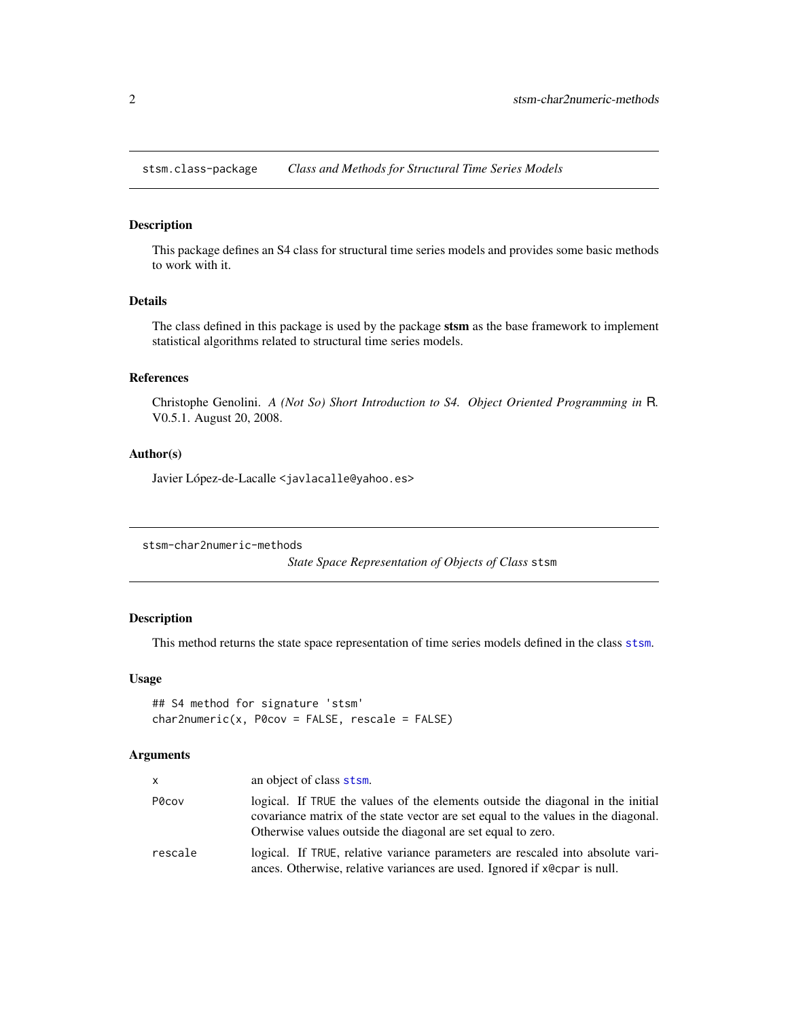<span id="page-1-0"></span>stsm.class-package *Class and Methods for Structural Time Series Models*

# Description

This package defines an S4 class for structural time series models and provides some basic methods to work with it.

# Details

The class defined in this package is used by the package stsm as the base framework to implement statistical algorithms related to structural time series models.

# References

Christophe Genolini. *A (Not So) Short Introduction to S4. Object Oriented Programming in* R*.* V0.5.1. August 20, 2008.

# Author(s)

Javier López-de-Lacalle <javlacalle@yahoo.es>

stsm-char2numeric-methods

*State Space Representation of Objects of Class* stsm

# Description

This method returns the state space representation of time series models defined in the class [stsm](#page-4-1).

# Usage

```
## S4 method for signature 'stsm'
char2numeric(x, P0cov = FALSE, rescale = FALSE)
```
# Arguments

| $\times$ | an object of class stsm.                                                                                                                                                                                                              |
|----------|---------------------------------------------------------------------------------------------------------------------------------------------------------------------------------------------------------------------------------------|
| P0cov    | logical. If TRUE the values of the elements outside the diagonal in the initial<br>covariance matrix of the state vector are set equal to the values in the diagonal.<br>Otherwise values outside the diagonal are set equal to zero. |
| rescale  | logical. If TRUE, relative variance parameters are rescaled into absolute vari-<br>ances. Otherwise, relative variances are used. Ignored if x @ cpar is null.                                                                        |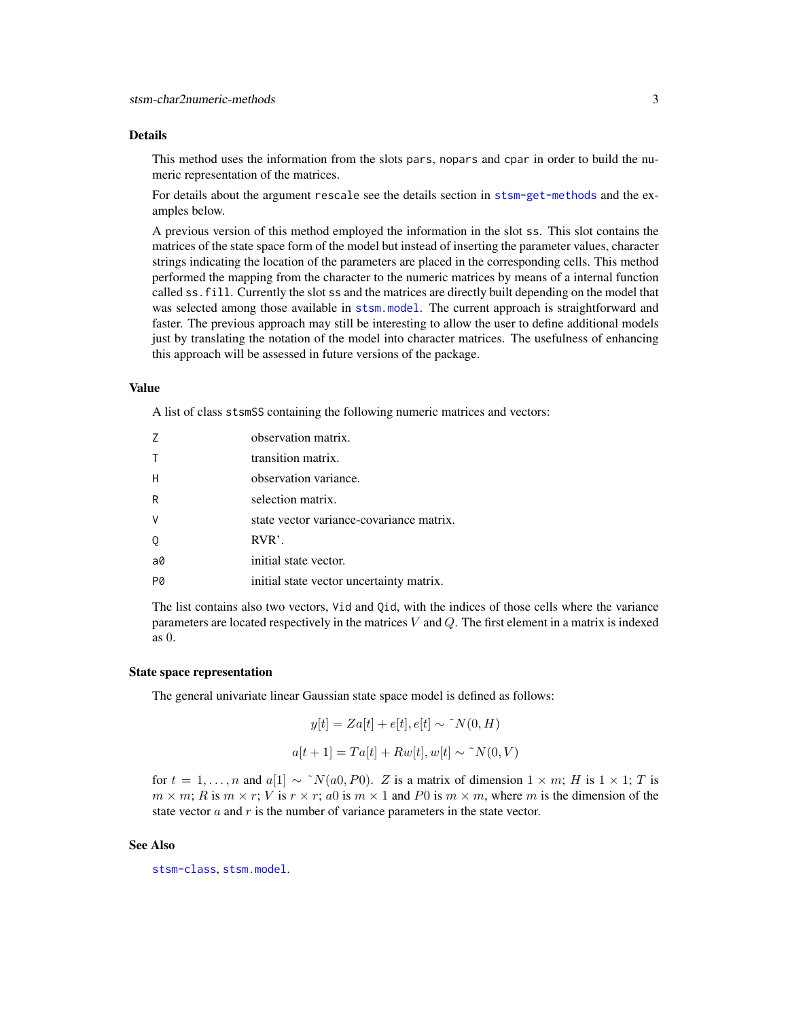# <span id="page-2-0"></span>Details

This method uses the information from the slots pars, nopars and cpar in order to build the numeric representation of the matrices.

For details about the argument rescale see the details section in [stsm-get-methods](#page-5-1) and the examples below.

A previous version of this method employed the information in the slot ss. This slot contains the matrices of the state space form of the model but instead of inserting the parameter values, character strings indicating the location of the parameters are placed in the corresponding cells. This method performed the mapping from the character to the numeric matrices by means of a internal function called ss.fill. Currently the slot ss and the matrices are directly built depending on the model that was selected among those available in [stsm.model](#page-17-1). The current approach is straightforward and faster. The previous approach may still be interesting to allow the user to define additional models just by translating the notation of the model into character matrices. The usefulness of enhancing this approach will be assessed in future versions of the package.

# Value

A list of class stsmSS containing the following numeric matrices and vectors:

|           | observation matrix.                      |
|-----------|------------------------------------------|
|           | transition matrix.                       |
| H         | observation variance.                    |
| R         | selection matrix.                        |
|           | state vector variance-covariance matrix. |
|           | $RVR$ .                                  |
| $a\theta$ | initial state vector.                    |
|           | initial state vector uncertainty matrix. |

The list contains also two vectors, Vid and Qid, with the indices of those cells where the variance parameters are located respectively in the matrices  $V$  and  $Q$ . The first element in a matrix is indexed as 0.

#### State space representation

The general univariate linear Gaussian state space model is defined as follows:

$$
y[t] = Za[t] + e[t], e[t] \sim \gamma N(0, H)
$$

$$
a[t+1] = Ta[t] + R w[t], w[t] \sim \gamma N(0, V)
$$

for  $t = 1, \ldots, n$  and  $a[1] \sim \gamma N(a0, P0)$ . Z is a matrix of dimension  $1 \times m$ ; H is  $1 \times 1$ ; T is  $m \times m$ ; R is  $m \times r$ ; V is  $r \times r$ ; a0 is  $m \times 1$  and P0 is  $m \times m$ , where m is the dimension of the state vector  $a$  and  $r$  is the number of variance parameters in the state vector.

#### See Also

[stsm-class](#page-4-2), [stsm.model](#page-17-1).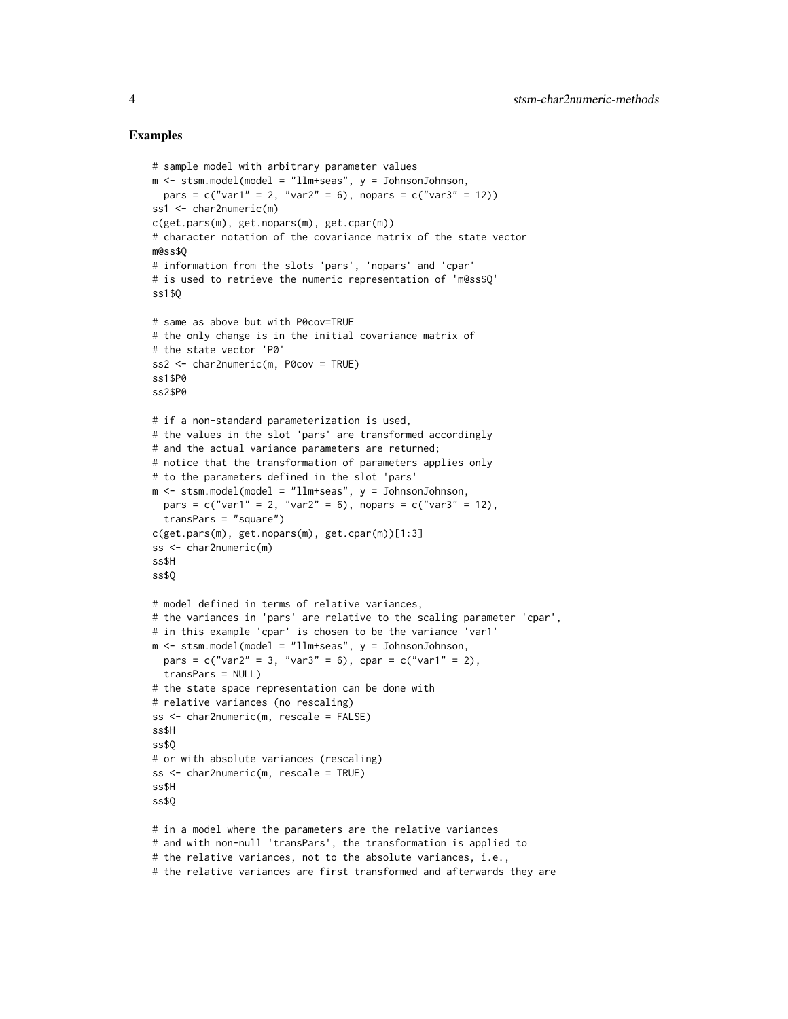# Examples

```
# sample model with arbitrary parameter values
m <- stsm.model(model = "llm+seas", y = JohnsonJohnson,
  pars = c("var1" = 2, "var2" = 6), nopars = c("var3" = 12))ss1 <- char2numeric(m)
c(get.pars(m), get.nopars(m), get.cpar(m))
# character notation of the covariance matrix of the state vector
m@ss$Q
# information from the slots 'pars', 'nopars' and 'cpar'
# is used to retrieve the numeric representation of 'm@ss$Q'
ss1$Q
# same as above but with P0cov=TRUE
# the only change is in the initial covariance matrix of
# the state vector 'P0'
ss2 <- char2numeric(m, P0cov = TRUE)
ss1$P0
ss2$P0
# if a non-standard parameterization is used,
# the values in the slot 'pars' are transformed accordingly
# and the actual variance parameters are returned;
# notice that the transformation of parameters applies only
# to the parameters defined in the slot 'pars'
m <- stsm.model(model = "llm+seas", y = JohnsonJohnson,
 pars = c("var1" = 2, "var2" = 6), nopars = c("var3" = 12),
  transPars = "square")
c(get.pars(m), get.nopars(m), get.cpar(m))[1:3]
ss <- char2numeric(m)
ss$H
ss$Q
# model defined in terms of relative variances,
# the variances in 'pars' are relative to the scaling parameter 'cpar',
# in this example 'cpar' is chosen to be the variance 'var1'
m <- stsm.model(model = "llm+seas", y = JohnsonJohnson,
  pars = c("var2" = 3, "var3" = 6), cpar = c("var1" = 2),
  transPars = NULL)
# the state space representation can be done with
# relative variances (no rescaling)
ss <- char2numeric(m, rescale = FALSE)
ss$H
ss$Q
# or with absolute variances (rescaling)
ss <- char2numeric(m, rescale = TRUE)
ss$H
ss$Q
# in a model where the parameters are the relative variances
# and with non-null 'transPars', the transformation is applied to
# the relative variances, not to the absolute variances, i.e.,
# the relative variances are first transformed and afterwards they are
```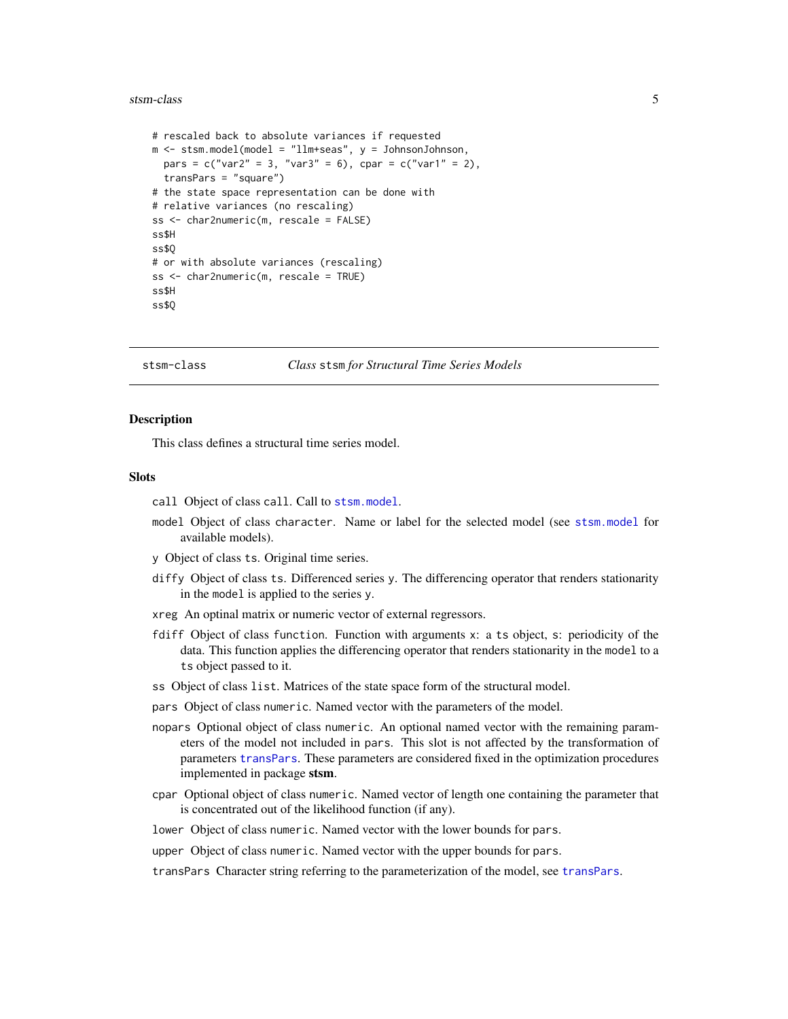# <span id="page-4-0"></span>stsm-class 5

```
# rescaled back to absolute variances if requested
m <- stsm.model(model = "llm+seas", y = JohnsonJohnson,
  pars = c("var2" = 3, "var3" = 6), cpar = c("var1" = 2),
  transPars = "square")
# the state space representation can be done with
# relative variances (no rescaling)
ss <- char2numeric(m, rescale = FALSE)
ss$H
ss$Q
# or with absolute variances (rescaling)
ss <- char2numeric(m, rescale = TRUE)
ss$H
ss$Q
```
#### <span id="page-4-2"></span>stsm-class *Class* stsm *for Structural Time Series Models*

# <span id="page-4-1"></span>Description

This class defines a structural time series model.

#### **Slots**

- call Object of class call. Call to [stsm.model](#page-17-1).
- model Object of class character. Name or label for the selected model (see [stsm.model](#page-17-1) for available models).
- y Object of class ts. Original time series.
- diffy Object of class ts. Differenced series y. The differencing operator that renders stationarity in the model is applied to the series y.
- xreg An optinal matrix or numeric vector of external regressors.
- fdiff Object of class function. Function with arguments x: a ts object, s: periodicity of the data. This function applies the differencing operator that renders stationarity in the model to a ts object passed to it.
- ss Object of class list. Matrices of the state space form of the structural model.
- pars Object of class numeric. Named vector with the parameters of the model.
- nopars Optional object of class numeric. An optional named vector with the remaining parameters of the model not included in pars. This slot is not affected by the transformation of parameters [transPars](#page-12-1). These parameters are considered fixed in the optimization procedures implemented in package stsm.
- cpar Optional object of class numeric. Named vector of length one containing the parameter that is concentrated out of the likelihood function (if any).
- lower Object of class numeric. Named vector with the lower bounds for pars.
- upper Object of class numeric. Named vector with the upper bounds for pars.

transPars Character string referring to the parameterization of the model, see [transPars](#page-12-1).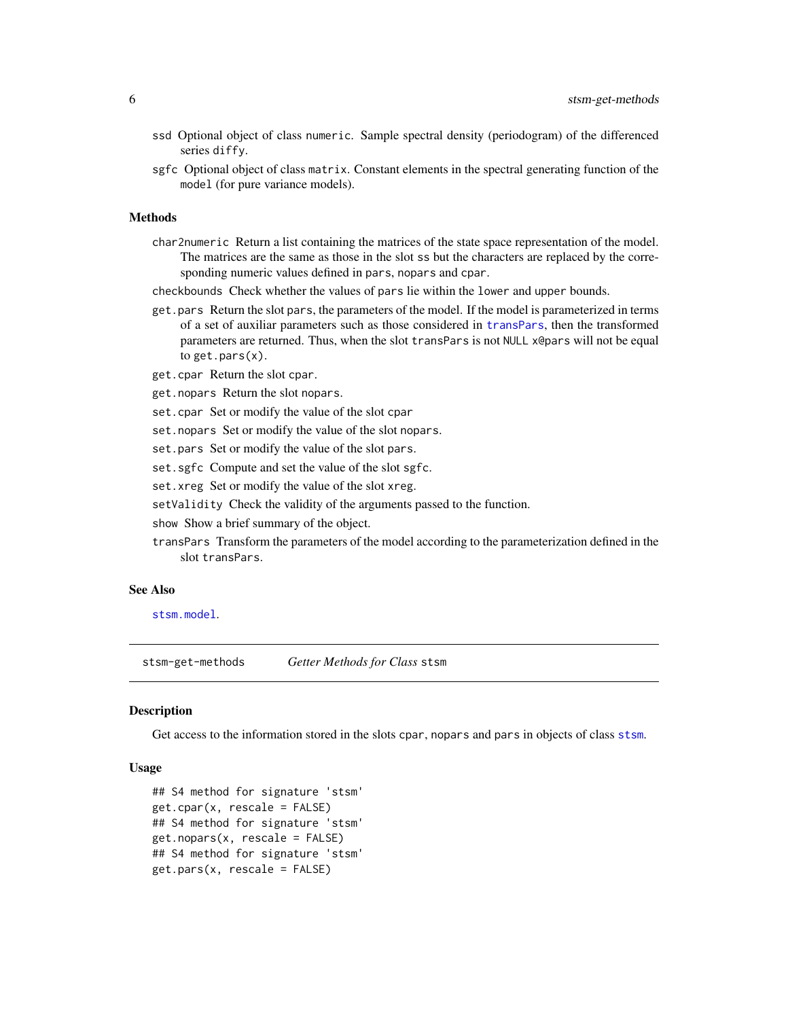- <span id="page-5-0"></span>ssd Optional object of class numeric. Sample spectral density (periodogram) of the differenced series diffy.
- sgfc Optional object of class matrix. Constant elements in the spectral generating function of the model (for pure variance models).

# Methods

- char2numeric Return a list containing the matrices of the state space representation of the model. The matrices are the same as those in the slot ss but the characters are replaced by the corresponding numeric values defined in pars, nopars and cpar.
- checkbounds Check whether the values of pars lie within the lower and upper bounds.
- get.pars Return the slot pars, the parameters of the model. If the model is parameterized in terms of a set of auxiliar parameters such as those considered in [transPars](#page-12-1), then the transformed parameters are returned. Thus, when the slot transPars is not NULL x@pars will not be equal to get.pars $(x)$ .
- get.cpar Return the slot cpar.
- get.nopars Return the slot nopars.
- set.cpar Set or modify the value of the slot cpar
- set.nopars Set or modify the value of the slot nopars.
- set.pars Set or modify the value of the slot pars.
- set.sgfc Compute and set the value of the slot sgfc.
- set.xreg Set or modify the value of the slot xreg.
- setValidity Check the validity of the arguments passed to the function.
- show Show a brief summary of the object.
- transPars Transform the parameters of the model according to the parameterization defined in the slot transPars.

# See Also

[stsm.model](#page-17-1).

<span id="page-5-1"></span>stsm-get-methods *Getter Methods for Class* stsm

# <span id="page-5-2"></span>Description

Get access to the information stored in the slots cpar, nopars and pars in objects of class [stsm](#page-4-1).

# Usage

```
## S4 method for signature 'stsm'
get.cpar(x, rescale = FALSE)
## S4 method for signature 'stsm'
get.nopars(x, rescale = FALSE)
## S4 method for signature 'stsm'
get.pars(x, rescale = FALSE)
```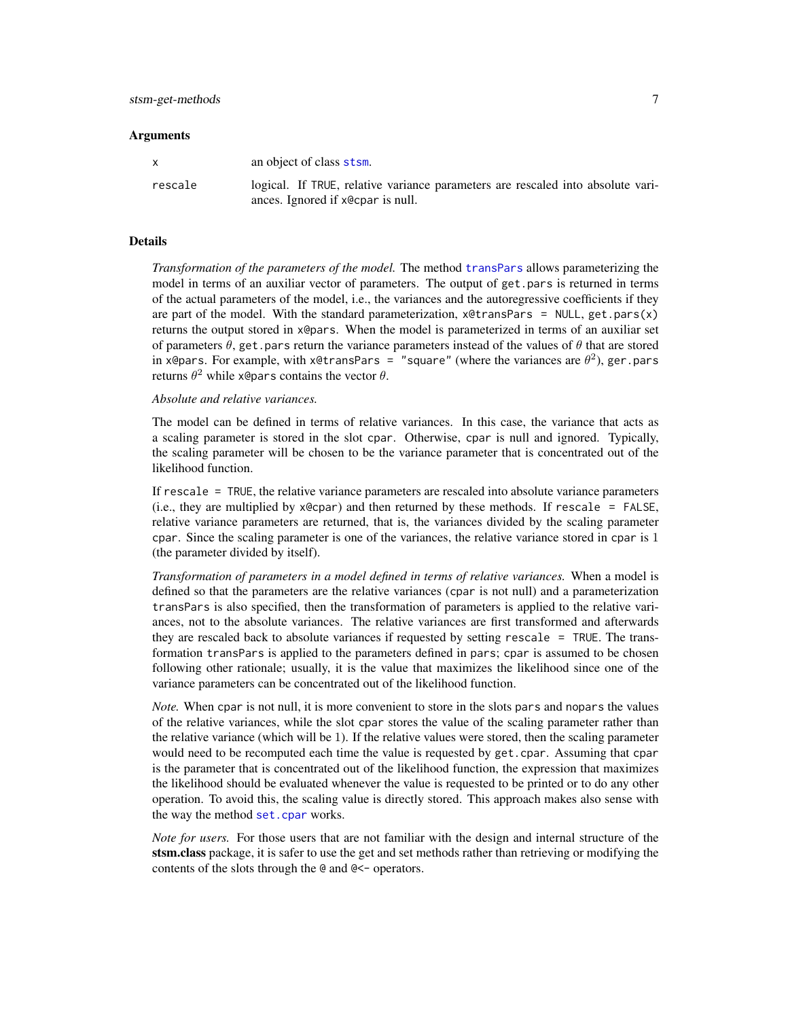# <span id="page-6-0"></span>**Arguments**

| X       | an object of class stsm.                                                        |
|---------|---------------------------------------------------------------------------------|
| rescale | logical. If TRUE, relative variance parameters are rescaled into absolute vari- |
|         | ances. Ignored if x@cpar is null.                                               |

# Details

*Transformation of the parameters of the model.* The method [transPars](#page-12-1) allows parameterizing the model in terms of an auxiliar vector of parameters. The output of get.pars is returned in terms of the actual parameters of the model, i.e., the variances and the autoregressive coefficients if they are part of the model. With the standard parameterization,  $x \cdot \text{letransPars} = \text{NULL}, \text{get.pars}(x)$ returns the output stored in x@pars. When the model is parameterized in terms of an auxiliar set of parameters  $\theta$ , get.pars return the variance parameters instead of the values of  $\theta$  that are stored in x@pars. For example, with x@transPars = "square" (where the variances are  $\theta^2$ ), ger.pars returns  $\theta^2$  while x@pars contains the vector  $\theta$ .

# *Absolute and relative variances.*

The model can be defined in terms of relative variances. In this case, the variance that acts as a scaling parameter is stored in the slot cpar. Otherwise, cpar is null and ignored. Typically, the scaling parameter will be chosen to be the variance parameter that is concentrated out of the likelihood function.

If rescale = TRUE, the relative variance parameters are rescaled into absolute variance parameters  $(i.e., they are multiplied by x@cpar)$  and then returned by these methods. If rescale = FALSE, relative variance parameters are returned, that is, the variances divided by the scaling parameter cpar. Since the scaling parameter is one of the variances, the relative variance stored in cpar is 1 (the parameter divided by itself).

*Transformation of parameters in a model defined in terms of relative variances.* When a model is defined so that the parameters are the relative variances (cpar is not null) and a parameterization transPars is also specified, then the transformation of parameters is applied to the relative variances, not to the absolute variances. The relative variances are first transformed and afterwards they are rescaled back to absolute variances if requested by setting rescale = TRUE. The transformation transPars is applied to the parameters defined in pars; cpar is assumed to be chosen following other rationale; usually, it is the value that maximizes the likelihood since one of the variance parameters can be concentrated out of the likelihood function.

*Note.* When cpar is not null, it is more convenient to store in the slots pars and nopars the values of the relative variances, while the slot cpar stores the value of the scaling parameter rather than the relative variance (which will be 1). If the relative values were stored, then the scaling parameter would need to be recomputed each time the value is requested by get.cpar. Assuming that cpar is the parameter that is concentrated out of the likelihood function, the expression that maximizes the likelihood should be evaluated whenever the value is requested to be printed or to do any other operation. To avoid this, the scaling value is directly stored. This approach makes also sense with the way the method [set.cpar](#page-8-1) works.

*Note for users.* For those users that are not familiar with the design and internal structure of the stsm.class package, it is safer to use the get and set methods rather than retrieving or modifying the contents of the slots through the @ and @<- operators.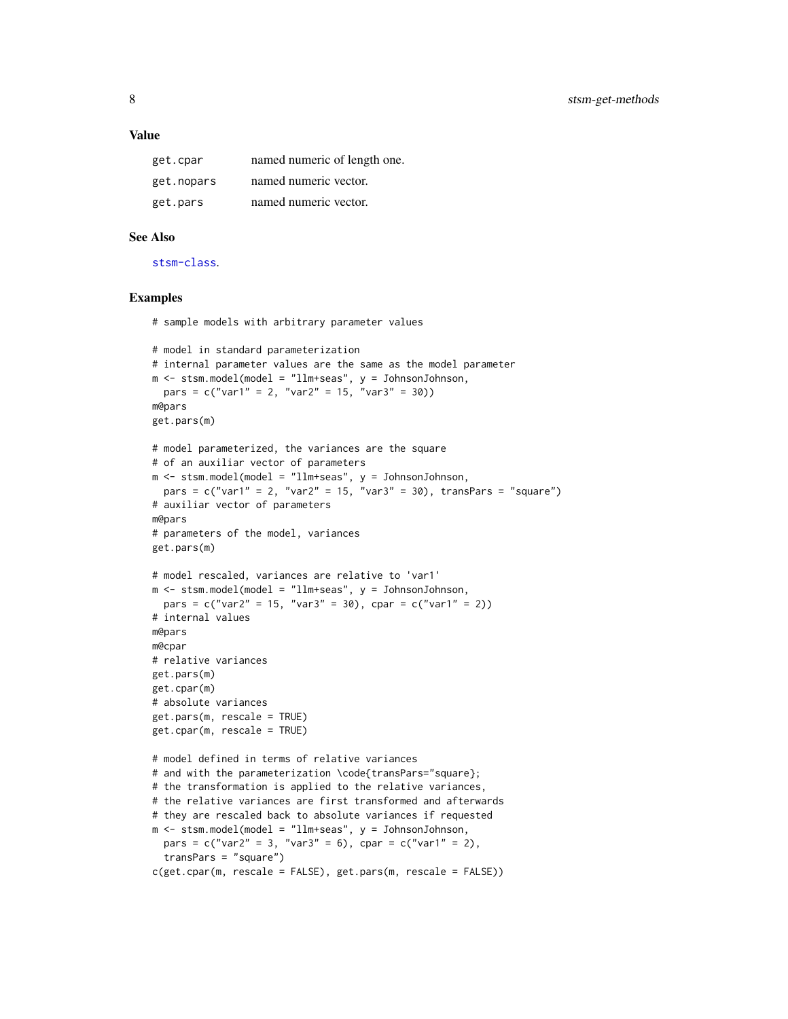#### Value

| get.cpar   | named numeric of length one. |
|------------|------------------------------|
| get.nopars | named numeric vector.        |
| get.pars   | named numeric vector.        |

# See Also

[stsm-class](#page-4-2).

# Examples

# sample models with arbitrary parameter values

```
# model in standard parameterization
# internal parameter values are the same as the model parameter
m <- stsm.model(model = "llm+seas", y = JohnsonJohnson,
 pars = c("var1" = 2, "var2" = 15, "var3" = 30)m@pars
get.pars(m)
# model parameterized, the variances are the square
# of an auxiliar vector of parameters
m <- stsm.model(model = "llm+seas", y = JohnsonJohnson,
  pars = c("var1" = 2, "var2" = 15, "var3" = 30), transPars = "square")
# auxiliar vector of parameters
m@pars
# parameters of the model, variances
get.pars(m)
# model rescaled, variances are relative to 'var1'
m <- stsm.model(model = "llm+seas", y = JohnsonJohnson,
  pars = c("var2" = 15, "var3" = 30), cpar = c("var1" = 2))
# internal values
m@pars
m@cpar
# relative variances
get.pars(m)
get.cpar(m)
# absolute variances
get.pars(m, rescale = TRUE)
get.cpar(m, rescale = TRUE)
# model defined in terms of relative variances
# and with the parameterization \code{transPars="square};
# the transformation is applied to the relative variances,
# the relative variances are first transformed and afterwards
# they are rescaled back to absolute variances if requested
m \le - stsm.model(model = "llm+seas", y = JohnsonJohnson,
  pars = c("var2" = 3, "var3" = 6), cpar = c("var1" = 2),
  transPars = "square")
c(get.cpar(m, rescale = FALSE), get.pars(m, rescale = FALSE))
```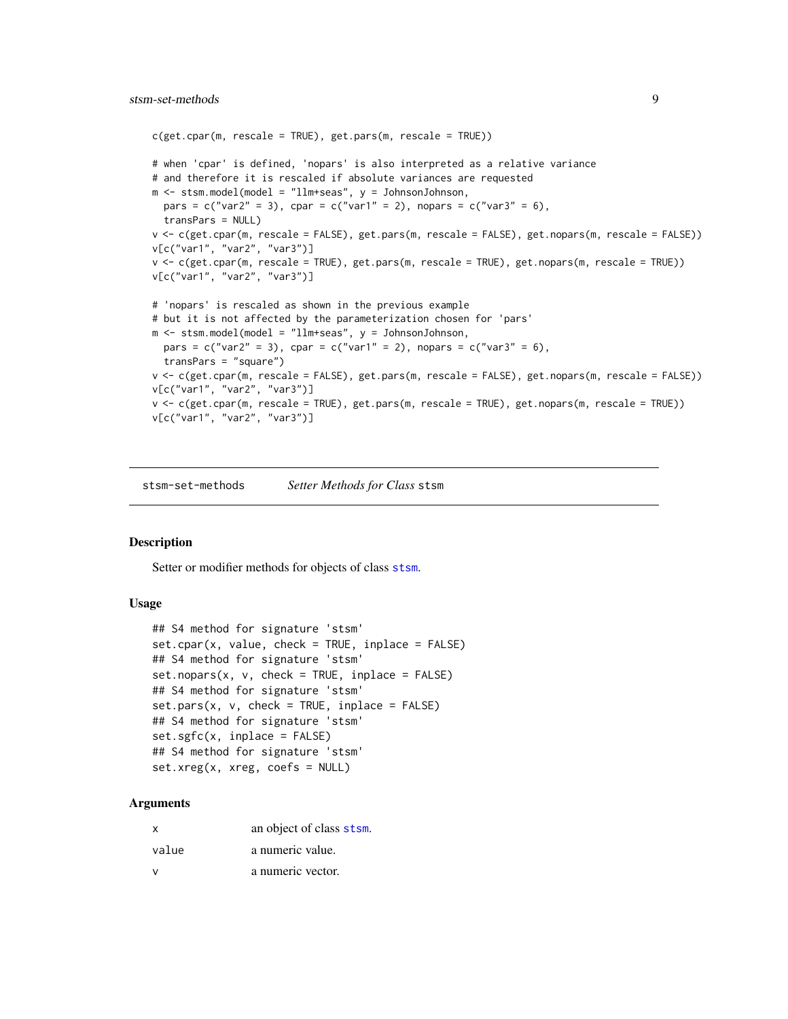```
c(get.cpar(m, rescale = TRUE), get.pars(m, rescale = TRUE))# when 'cpar' is defined, 'nopars' is also interpreted as a relative variance
# and therefore it is rescaled if absolute variances are requested
m <- stsm.model(model = "llm+seas", y = JohnsonJohnson,
 pars = c("var2" = 3), cpar = c("var1" = 2), nopars = c("var3" = 6),
  transPars = NULL)
v <- c(get.cpar(m, rescale = FALSE), get.pars(m, rescale = FALSE), get.nopars(m, rescale = FALSE))
v[c("var1", "var2", "var3")]
v <- c(get.cpar(m, rescale = TRUE), get.pars(m, rescale = TRUE), get.nopars(m, rescale = TRUE))
v[c("var1", "var2", "var3")]
# 'nopars' is rescaled as shown in the previous example
# but it is not affected by the parameterization chosen for 'pars'
m <- stsm.model(model = "llm+seas", y = JohnsonJohnson,
  pars = c("var2" = 3), cpar = c("var1" = 2), nopars = c("var3" = 6),
  transPars = "square")
v <- c(get.cpar(m, rescale = FALSE), get.pars(m, rescale = FALSE), get.nopars(m, rescale = FALSE))
v[c("var1", "var2", "var3")]
v <- c(get.cpar(m, rescale = TRUE), get.pars(m, rescale = TRUE), get.nopars(m, rescale = TRUE))
v[c("var1", "var2", "var3")]
```
<span id="page-8-2"></span>stsm-set-methods *Setter Methods for Class* stsm

#### <span id="page-8-1"></span>Description

Setter or modifier methods for objects of class [stsm](#page-4-1).

# Usage

```
## S4 method for signature 'stsm'
set.cpar(x, value, check = TRUE, inplace = FALSE)## S4 method for signature 'stsm'
set.nopars(x, v, check = TRUE, inplace = FALSE)## S4 method for signature 'stsm'
set.parse(x, v, check = TRUE, inplace = FALSE)## S4 method for signature 'stsm'
set\square s fc(x, input) ce = FALSE)
## S4 method for signature 'stsm'
set.xreg(x, xreg, coefs = NULL)
```
#### Arguments

| $\mathsf{x}$ | an object of class stsm. |
|--------------|--------------------------|
| value        | a numeric value.         |
|              | a numeric vector.        |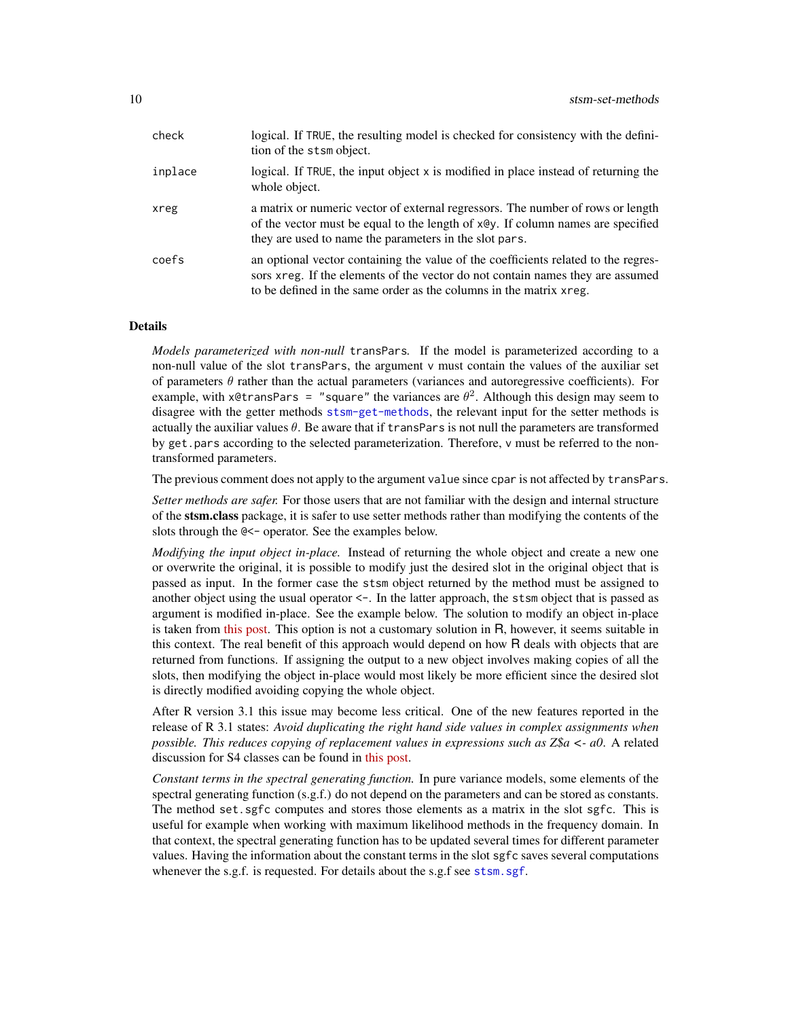<span id="page-9-0"></span>

| check   | logical. If TRUE, the resulting model is checked for consistency with the defini-<br>tion of the stsm object.                                                                                                                               |
|---------|---------------------------------------------------------------------------------------------------------------------------------------------------------------------------------------------------------------------------------------------|
| inplace | logical. If TRUE, the input object x is modified in place instead of returning the<br>whole object.                                                                                                                                         |
| xreg    | a matrix or numeric vector of external regressors. The number of rows or length<br>of the vector must be equal to the length of x@y. If column names are specified<br>they are used to name the parameters in the slot pars.                |
| coefs   | an optional vector containing the value of the coefficients related to the regres-<br>sors xreg. If the elements of the vector do not contain names they are assumed<br>to be defined in the same order as the columns in the matrix x reg. |

# Details

*Models parameterized with non-null* transPars*.* If the model is parameterized according to a non-null value of the slot transPars, the argument v must contain the values of the auxiliar set of parameters  $\theta$  rather than the actual parameters (variances and autoregressive coefficients). For example, with x@transPars = "square" the variances are  $\theta^2$ . Although this design may seem to disagree with the getter methods [stsm-get-methods](#page-5-1), the relevant input for the setter methods is actually the auxiliar values  $\theta$ . Be aware that if transPars is not null the parameters are transformed by get.pars according to the selected parameterization. Therefore, v must be referred to the nontransformed parameters.

The previous comment does not apply to the argument value since cpar is not affected by transPars.

*Setter methods are safer.* For those users that are not familiar with the design and internal structure of the stsm.class package, it is safer to use setter methods rather than modifying the contents of the slots through the @<- operator. See the examples below.

*Modifying the input object in-place.* Instead of returning the whole object and create a new one or overwrite the original, it is possible to modify just the desired slot in the original object that is passed as input. In the former case the stsm object returned by the method must be assigned to another object using the usual operator <-. In the latter approach, the stsm object that is passed as argument is modified in-place. See the example below. The solution to modify an object in-place is taken from [this post.](http://tolstoy.newcastle.edu.au/R/help/04/02/0966.html) This option is not a customary solution in R, however, it seems suitable in this context. The real benefit of this approach would depend on how R deals with objects that are returned from functions. If assigning the output to a new object involves making copies of all the slots, then modifying the object in-place would most likely be more efficient since the desired slot is directly modified avoiding copying the whole object.

After R version 3.1 this issue may become less critical. One of the new features reported in the release of R 3.1 states: *Avoid duplicating the right hand side values in complex assignments when possible. This reduces copying of replacement values in expressions such as Z\$a <- a0*. A related discussion for S4 classes can be found in [this post.](http://stackoverflow.com/questions/22448198/does-r-copy-unevaluated-slots-in-s4-classes-on-assignment/)

*Constant terms in the spectral generating function.* In pure variance models, some elements of the spectral generating function (s.g.f.) do not depend on the parameters and can be stored as constants. The method set.sgfc computes and stores those elements as a matrix in the slot sgfc. This is useful for example when working with maximum likelihood methods in the frequency domain. In that context, the spectral generating function has to be updated several times for different parameter values. Having the information about the constant terms in the slot sgfc saves several computations whenever the s.g.f. is requested. For details about the s.g.f see [stsm.sgf](#page-20-1).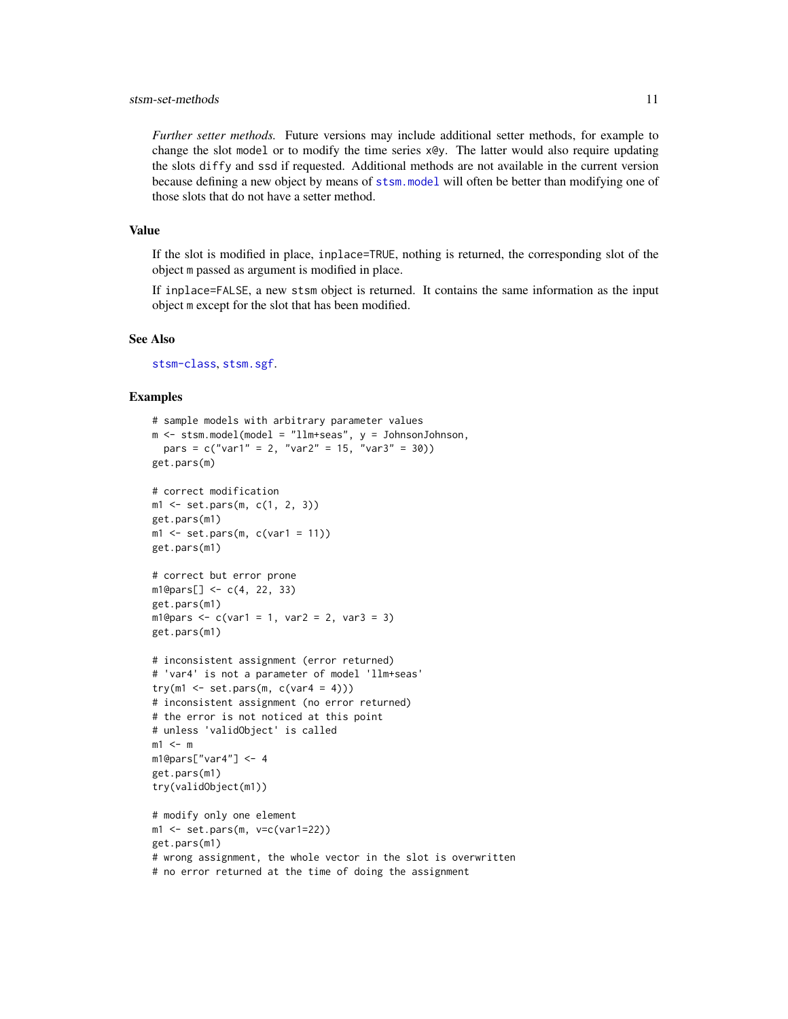# <span id="page-10-0"></span>stsm-set-methods 11

*Further setter methods.* Future versions may include additional setter methods, for example to change the slot model or to modify the time series x@y. The latter would also require updating the slots diffy and ssd if requested. Additional methods are not available in the current version because defining a new object by means of [stsm.model](#page-17-1) will often be better than modifying one of those slots that do not have a setter method.

# Value

If the slot is modified in place, inplace=TRUE, nothing is returned, the corresponding slot of the object m passed as argument is modified in place.

If inplace=FALSE, a new stsm object is returned. It contains the same information as the input object m except for the slot that has been modified.

# See Also

[stsm-class](#page-4-2), [stsm.sgf](#page-20-1).

# Examples

```
# sample models with arbitrary parameter values
m <- stsm.model(model = "llm+seas", y = JohnsonJohnson,
  pars = c("var1" = 2, "var2" = 15, "var3" = 30)get.pars(m)
# correct modification
m1 \le - set.pars(m, c(1, 2, 3))get.pars(m1)
m1 \le - set.pars(m, c(var1 = 11))
get.pars(m1)
# correct but error prone
ml@pars[] < -c(4, 22, 33)get.pars(m1)
ml@pars < -c(var1 = 1, var2 = 2, var3 = 3)get.pars(m1)
# inconsistent assignment (error returned)
# 'var4' is not a parameter of model 'llm+seas'
try(m1 \le set.pars(m, c(var4 = 4)))
# inconsistent assignment (no error returned)
# the error is not noticed at this point
# unless 'validObject' is called
m1 <- mm1@pars["var4"] <- 4
get.pars(m1)
try(validObject(m1))
# modify only one element
ml \leftarrow set.parse(m, v=c(var1=22))get.pars(m1)
# wrong assignment, the whole vector in the slot is overwritten
# no error returned at the time of doing the assignment
```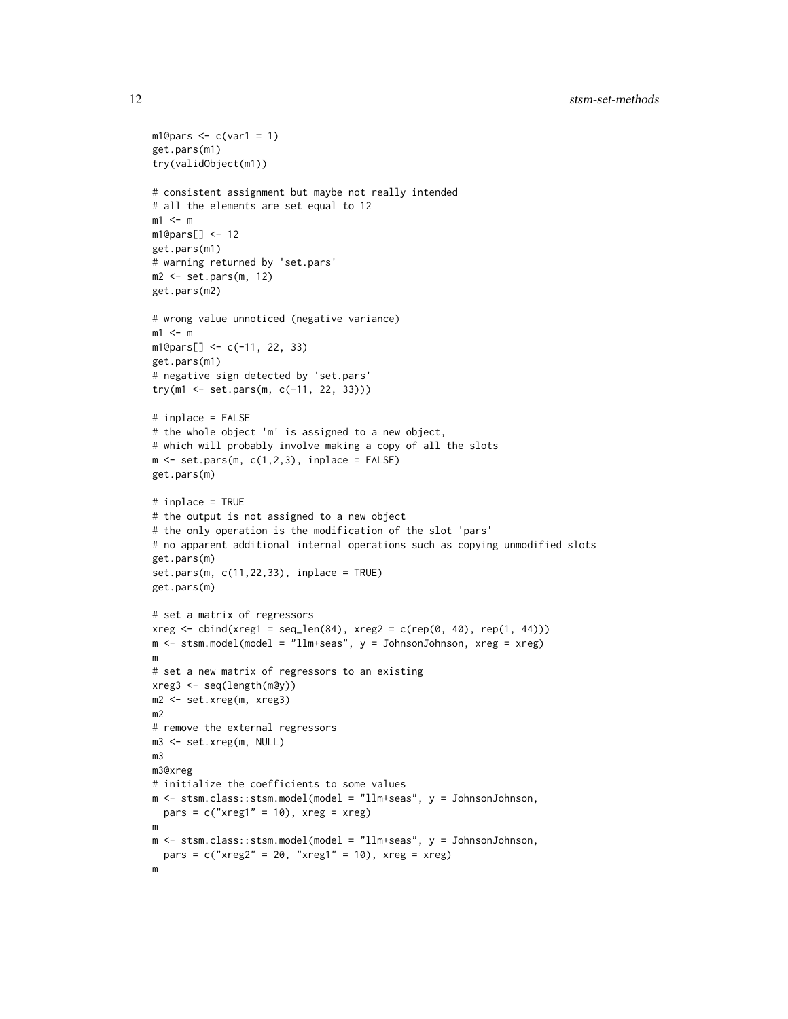```
ml@pars < c(var1 = 1)get.pars(m1)
try(validObject(m1))
# consistent assignment but maybe not really intended
# all the elements are set equal to 12
m1 <- m
m1@pars[] <- 12
get.pars(m1)
# warning returned by 'set.pars'
m2 <- set.pars(m, 12)
get.pars(m2)
# wrong value unnoticed (negative variance)
m1 <- mm1@pars[] <- c(-11, 22, 33)
get.pars(m1)
# negative sign detected by 'set.pars'
try(m1 <- set.pars(m, c(-11, 22, 33)))
# inplace = FALSE
# the whole object 'm' is assigned to a new object,
# which will probably involve making a copy of all the slots
m \leq -set.parse(m, c(1,2,3), inplace = FALSE)get.pars(m)
# inplace = TRUE
# the output is not assigned to a new object
# the only operation is the modification of the slot 'pars'
# no apparent additional internal operations such as copying unmodified slots
get.pars(m)
set.pars(m, c(11,22,33), inplace = TRUE)
get.pars(m)
# set a matrix of regressors
xreg \leftarrow \text{cbind}(xreg1 = seq\_len(84), xreg2 = c(rep(0, 40), rep(1, 44)))m <- stsm.model(model = "llm+seas", y = JohnsonJohnson, xreg = xreg)
m
# set a new matrix of regressors to an existing
xreg3 <- seq(length(m@y))
m2 <- set.xreg(m, xreg3)
m2
# remove the external regressors
m3 <- set.xreg(m, NULL)
m3
m3@xreg
# initialize the coefficients to some values
m <- stsm.class::stsm.model(model = "llm+seas", y = JohnsonJohnson,
 pars = c("xreg1" = 10), xreg = xreg)m
m <- stsm.class::stsm.model(model = "llm+seas", y = JohnsonJohnson,
  pars = c("xreg2" = 20, "xreg1" = 10), xreg = xreg)
m
```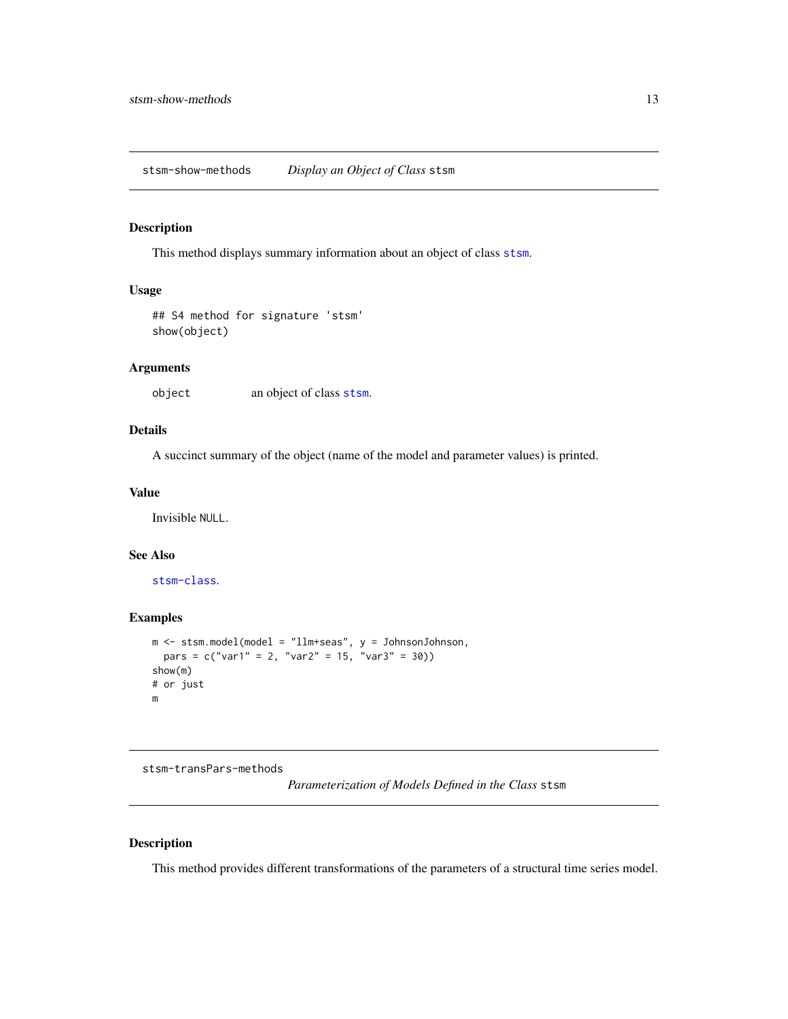<span id="page-12-0"></span>stsm-show-methods *Display an Object of Class* stsm

# Description

This method displays summary information about an object of class [stsm](#page-4-1).

# Usage

## S4 method for signature 'stsm' show(object)

# Arguments

object an object of class [stsm](#page-4-1).

# Details

A succinct summary of the object (name of the model and parameter values) is printed.

#### Value

Invisible NULL.

# See Also

[stsm-class](#page-4-2).

# Examples

```
m <- stsm.model(model = "llm+seas", y = JohnsonJohnson,
  pars = c("var1" = 2, "var2" = 15, "var3" = 30)show(m)
# or just
m
```
stsm-transPars-methods

*Parameterization of Models Defined in the Class* stsm

# <span id="page-12-1"></span>Description

This method provides different transformations of the parameters of a structural time series model.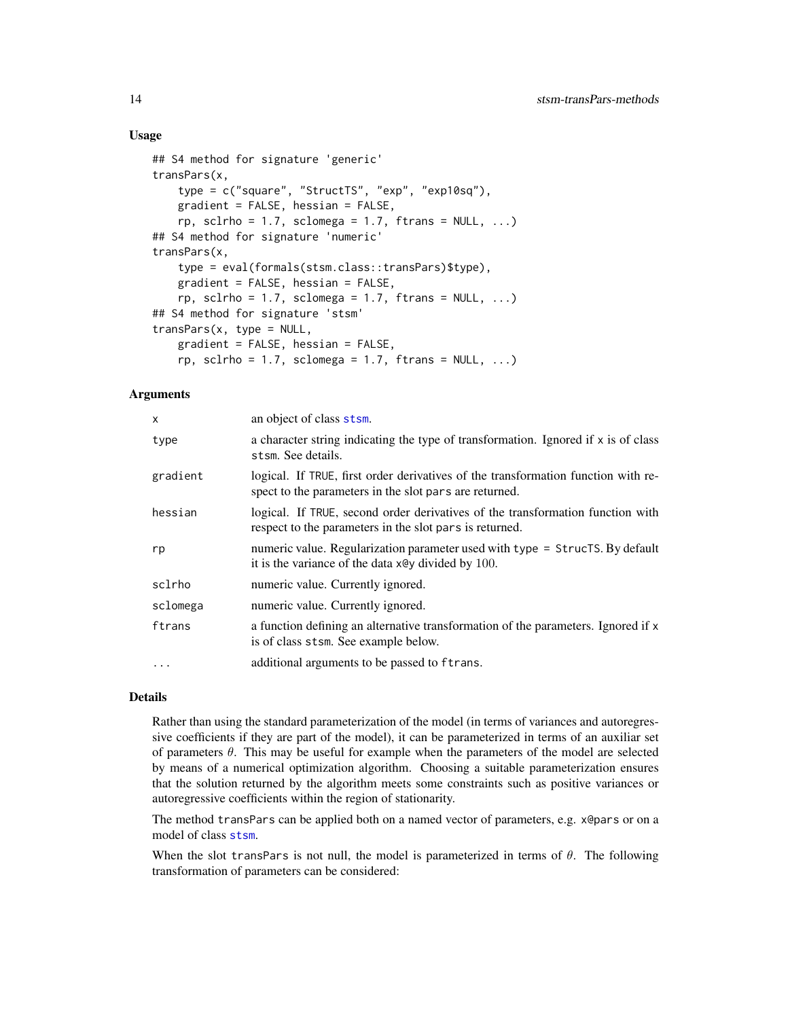# <span id="page-13-0"></span>Usage

```
## S4 method for signature 'generic'
transPars(x,
    type = c("square", "StructTS", "exp", "exp10sq"),
    gradient = FALSE, hessian = FALSE,
    rp, sclrho = 1.7, sclomega = 1.7, ftrans = NULL, ...)
## S4 method for signature 'numeric'
transPars(x,
    type = eval(formals(stsm.class::transPars)$type),
    gradient = FALSE, hessian = FALSE,
    rp, sclrho = 1.7, sclomega = 1.7, ftrans = NULL, ...)
## S4 method for signature 'stsm'
transParse(x, type = NULL,gradient = FALSE, hessian = FALSE,
   rp, sclrho = 1.7, sclomega = 1.7, ftrans = NULL, ...)
```
# Arguments

| X        | an object of class stsm.                                                                                                                    |
|----------|---------------------------------------------------------------------------------------------------------------------------------------------|
| type     | a character string indicating the type of transformation. Ignored if x is of class<br>stsm. See details.                                    |
| gradient | logical. If TRUE, first order derivatives of the transformation function with re-<br>spect to the parameters in the slot pars are returned. |
| hessian  | logical. If TRUE, second order derivatives of the transformation function with<br>respect to the parameters in the slot pars is returned.   |
| rp       | numeric value. Regularization parameter used with type = StrucTS. By default<br>it is the variance of the data x@y divided by 100.          |
| sclrho   | numeric value. Currently ignored.                                                                                                           |
| sclomega | numeric value. Currently ignored.                                                                                                           |
| ftrans   | a function defining an alternative transformation of the parameters. Ignored if x<br>is of class stsm. See example below.                   |
| $\cdots$ | additional arguments to be passed to ftrans.                                                                                                |

# Details

Rather than using the standard parameterization of the model (in terms of variances and autoregressive coefficients if they are part of the model), it can be parameterized in terms of an auxiliar set of parameters  $\theta$ . This may be useful for example when the parameters of the model are selected by means of a numerical optimization algorithm. Choosing a suitable parameterization ensures that the solution returned by the algorithm meets some constraints such as positive variances or autoregressive coefficients within the region of stationarity.

The method transPars can be applied both on a named vector of parameters, e.g. x@pars or on a model of class [stsm](#page-4-1).

When the slot transPars is not null, the model is parameterized in terms of  $\theta$ . The following transformation of parameters can be considered: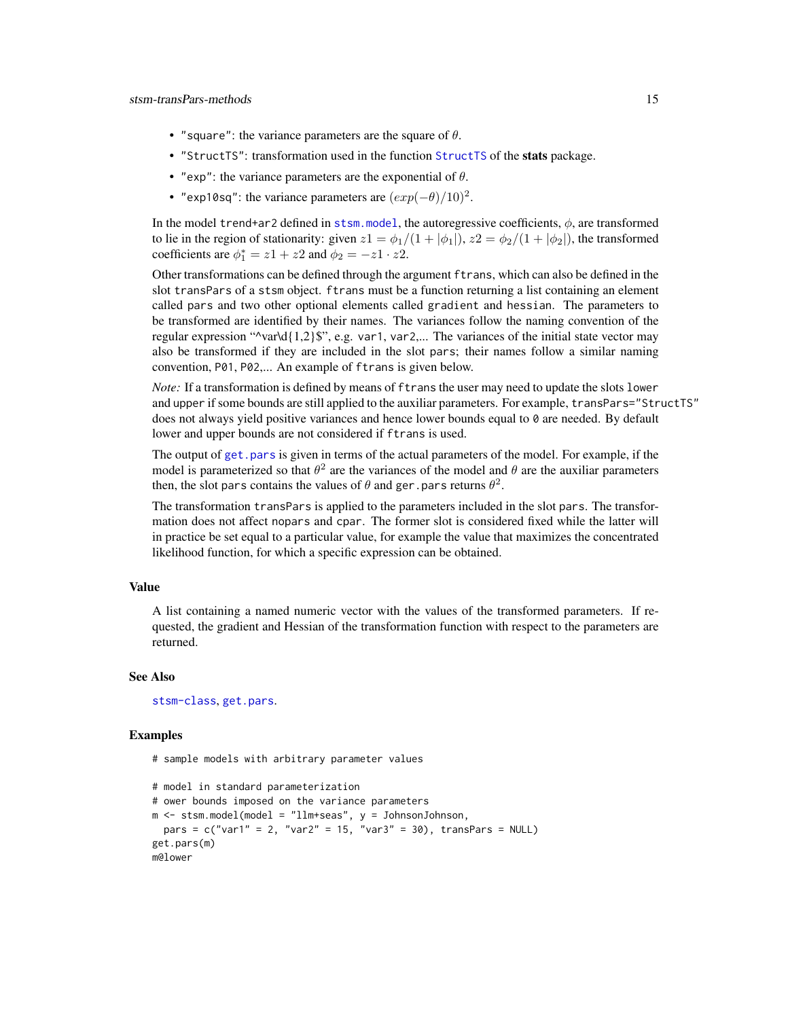- <span id="page-14-0"></span>• "square": the variance parameters are the square of  $\theta$ .
- "StructTS": transformation used in the function [StructTS](#page-0-0) of the stats package.
- "exp": the variance parameters are the exponential of  $\theta$ .
- "exp10sq": the variance parameters are  $(exp(-\theta)/10)^2$ .

In the model trend+ar2 defined in [stsm.model](#page-17-1), the autoregressive coefficients,  $\phi$ , are transformed to lie in the region of stationarity: given  $z1 = \phi_1/(1 + |\phi_1|)$ ,  $z2 = \phi_2/(1 + |\phi_2|)$ , the transformed coefficients are  $\phi_1^* = z_1 + z_2$  and  $\phi_2 = -z_1 \cdot z_2$ .

Other transformations can be defined through the argument ftrans, which can also be defined in the slot transPars of a stsm object. ftrans must be a function returning a list containing an element called pars and two other optional elements called gradient and hessian. The parameters to be transformed are identified by their names. The variances follow the naming convention of the regular expression " $\varphi$ var $\text{d}{1,2}\$ ", e.g. var1, var2,... The variances of the initial state vector may also be transformed if they are included in the slot pars; their names follow a similar naming convention, P01, P02,... An example of ftrans is given below.

*Note:* If a transformation is defined by means of ftrans the user may need to update the slots lower and upper if some bounds are still applied to the auxiliar parameters. For example, transPars="StructTS" does not always yield positive variances and hence lower bounds equal to 0 are needed. By default lower and upper bounds are not considered if ftrans is used.

The output of [get.pars](#page-5-2) is given in terms of the actual parameters of the model. For example, if the model is parameterized so that  $\theta^2$  are the variances of the model and  $\theta$  are the auxiliar parameters then, the slot pars contains the values of  $\theta$  and ger.pars returns  $\theta^2$ .

The transformation transPars is applied to the parameters included in the slot pars. The transformation does not affect nopars and cpar. The former slot is considered fixed while the latter will in practice be set equal to a particular value, for example the value that maximizes the concentrated likelihood function, for which a specific expression can be obtained.

# Value

A list containing a named numeric vector with the values of the transformed parameters. If requested, the gradient and Hessian of the transformation function with respect to the parameters are returned.

# See Also

[stsm-class](#page-4-2), [get.pars](#page-5-2).

# Examples

# sample models with arbitrary parameter values

```
# model in standard parameterization
# ower bounds imposed on the variance parameters
m \le - stsm.model(model = "llm+seas", y = JohnsonJohnson,
 pars = c("var1" = 2, "var2" = 15, "var3" = 30), transParse = NULL)get.pars(m)
m@lower
```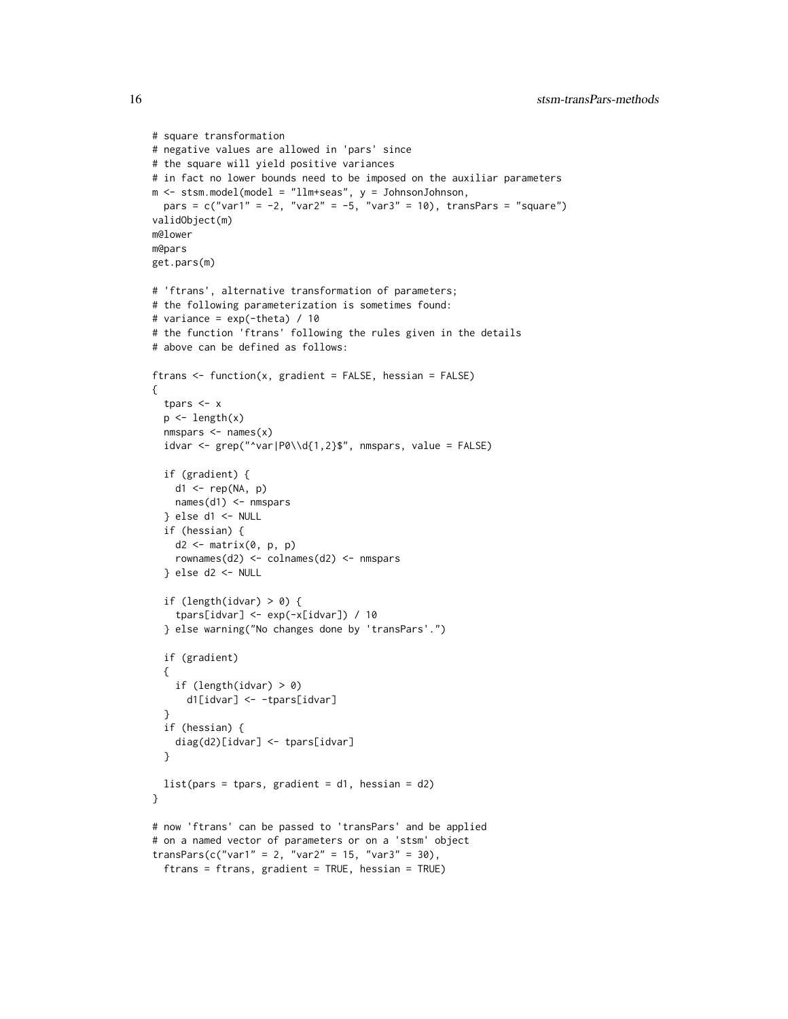```
# square transformation
# negative values are allowed in 'pars' since
# the square will yield positive variances
# in fact no lower bounds need to be imposed on the auxiliar parameters
m <- stsm.model(model = "llm+seas", y = JohnsonJohnson,
 pars = c("var1" = -2, "var2" = -5, "var3" = 10), transPass = "square")validObject(m)
m@lower
m@pars
get.pars(m)
# 'ftrans', alternative transformation of parameters;
# the following parameterization is sometimes found:
# variance = exp(-theta) / 10
# the function 'ftrans' following the rules given in the details
# above can be defined as follows:
ftrans \leq function(x, gradient = FALSE, hessian = FALSE)
{
  tpars <- x
  p \leftarrow length(x)nmspars \leq names(x)idvar <- grep("^var|P0\\d{1,2}$", nmspars, value = FALSE)
  if (gradient) {
   d1 <- rep(NA, p)
   names(d1) <- nmspars
  } else d1 <- NULL
  if (hessian) {
    d2 <- matrix(0, p, p)
    rownames(d2) <- colnames(d2) <- nmspars
  } else d2 <- NULL
  if (length(idvar) > 0) {
    tpars[idvar] <- exp(-x[idvar]) / 10
  } else warning("No changes done by 'transPars'.")
  if (gradient)
  {
    if (length(idvar) > 0)
      d1[idvar] <- -tpars[idvar]
  }
  if (hessian) {
    diag(d2)[idvar] <- tpars[idvar]
  }
 list(pars = tpars, gradient = d1, hessian = d2)}
# now 'ftrans' can be passed to 'transPars' and be applied
# on a named vector of parameters or on a 'stsm' object
transParse(c("var1" = 2, "var2" = 15, "var3" = 30),ftrans = ftrans, gradient = TRUE, hessian = TRUE)
```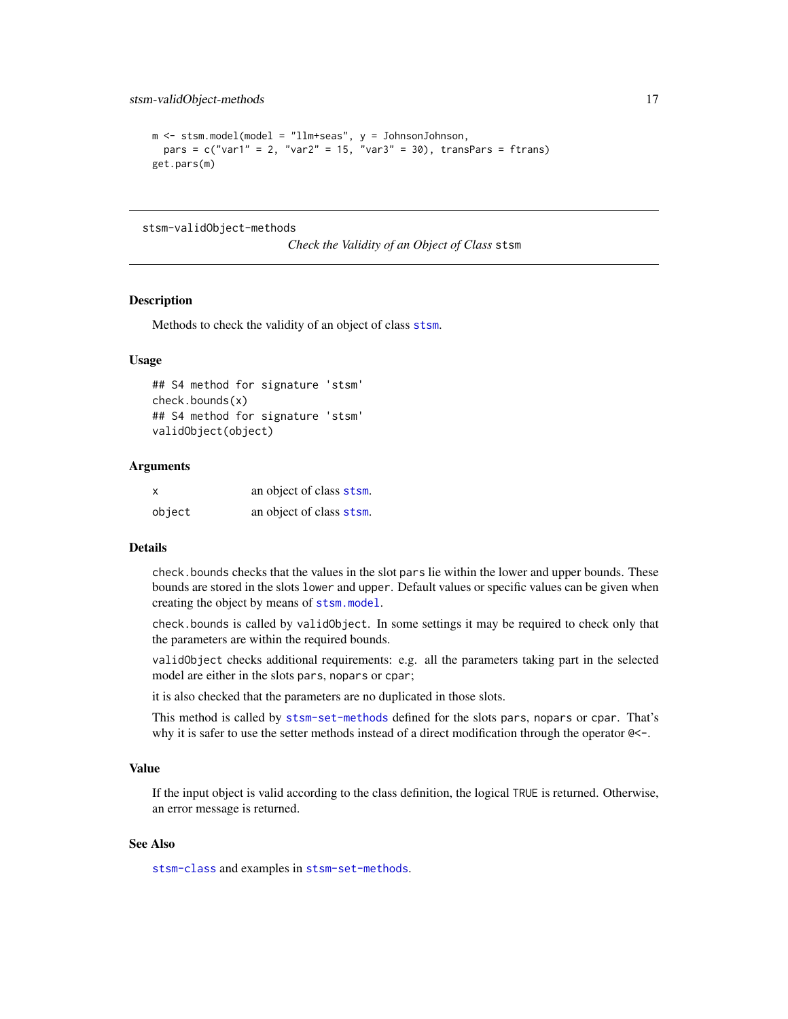```
m \le - stsm.model(model = "llm+seas", y = JohnsonJohnson,
 pars = c("var1" = 2, "var2" = 15, "var3" = 30), transPars = ftrans)
get.pars(m)
```
stsm-validObject-methods

*Check the Validity of an Object of Class* stsm

# Description

Methods to check the validity of an object of class [stsm](#page-4-1).

# Usage

```
## S4 method for signature 'stsm'
check.bounds(x)
## S4 method for signature 'stsm'
validObject(object)
```
# Arguments

| X      | an object of class stsm. |
|--------|--------------------------|
| object | an object of class stsm. |

# Details

check.bounds checks that the values in the slot pars lie within the lower and upper bounds. These bounds are stored in the slots lower and upper. Default values or specific values can be given when creating the object by means of [stsm.model](#page-17-1).

check.bounds is called by validObject. In some settings it may be required to check only that the parameters are within the required bounds.

validObject checks additional requirements: e.g. all the parameters taking part in the selected model are either in the slots pars, nopars or cpar;

it is also checked that the parameters are no duplicated in those slots.

This method is called by [stsm-set-methods](#page-8-2) defined for the slots pars, nopars or cpar. That's why it is safer to use the setter methods instead of a direct modification through the operator  $\mathbb{R}$  -.

# Value

If the input object is valid according to the class definition, the logical TRUE is returned. Otherwise, an error message is returned.

# See Also

[stsm-class](#page-4-2) and examples in [stsm-set-methods](#page-8-2).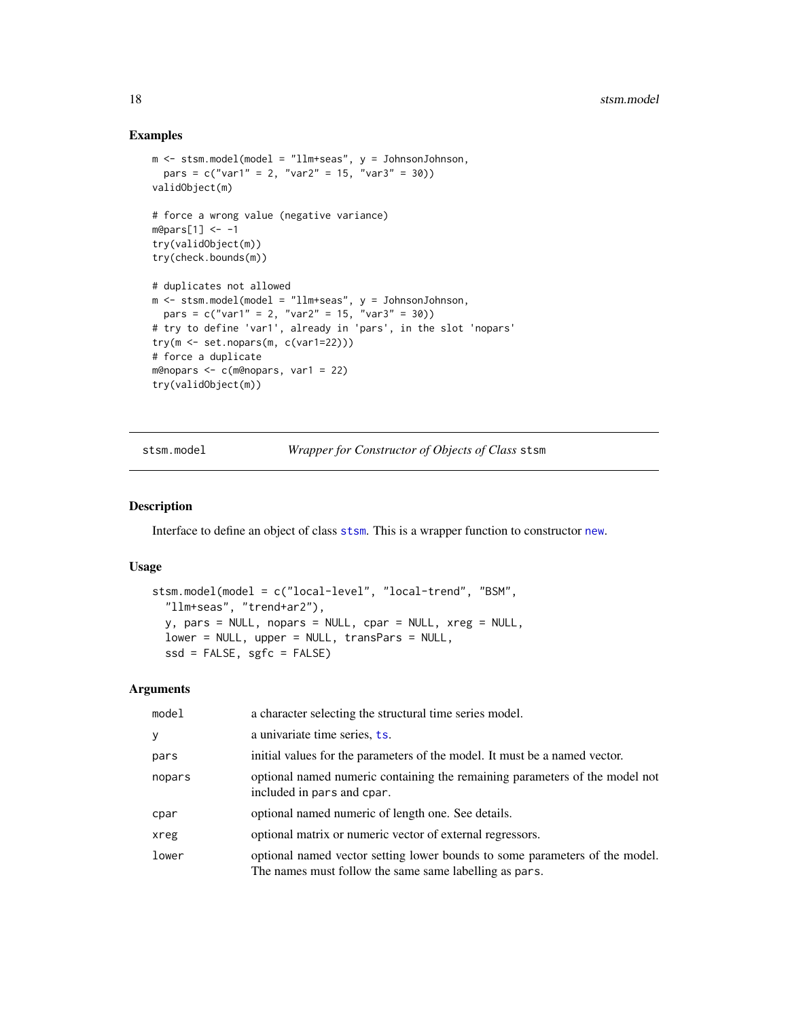# Examples

```
m <- stsm.model(model = "llm+seas", y = JohnsonJohnson,
 pars = c("var1" = 2, "var2" = 15, "var3" = 30)validObject(m)
# force a wrong value (negative variance)
m@pars[1] < -1try(validObject(m))
try(check.bounds(m))
# duplicates not allowed
m <- stsm.model(model = "llm+seas", y = JohnsonJohnson,
 pars = c("var1" = 2, "var2" = 15, "var3" = 30)# try to define 'var1', already in 'pars', in the slot 'nopars'
try(m <- set.nopars(m, c(var1=22)))
# force a duplicate
m@nopars <- c(m@nopars, var1 = 22)
try(validObject(m))
```
<span id="page-17-1"></span>stsm.model *Wrapper for Constructor of Objects of Class* stsm

#### Description

Interface to define an object of class [stsm](#page-4-1). This is a wrapper function to constructor [new](#page-0-0).

# Usage

```
stsm.model(model = c("local-level", "local-trend", "BSM",
  "llm+seas", "trend+ar2"),
 y, pars = NULL, nopars = NULL, cpar = NULL, xreg = NULL,
 lower = NULL, upper = NULL, transPars = NULL,
 ssd = FALSE, sgfc = FALSE)
```
# Arguments

| model  | a character selecting the structural time series model.                                                                               |
|--------|---------------------------------------------------------------------------------------------------------------------------------------|
| y      | a univariate time series, ts.                                                                                                         |
| pars   | initial values for the parameters of the model. It must be a named vector.                                                            |
| nopars | optional named numeric containing the remaining parameters of the model not<br>included in pars and cpar.                             |
| cpar   | optional named numeric of length one. See details.                                                                                    |
| xreg   | optional matrix or numeric vector of external regressors.                                                                             |
| lower  | optional named vector setting lower bounds to some parameters of the model.<br>The names must follow the same same labelling as pars. |

<span id="page-17-0"></span>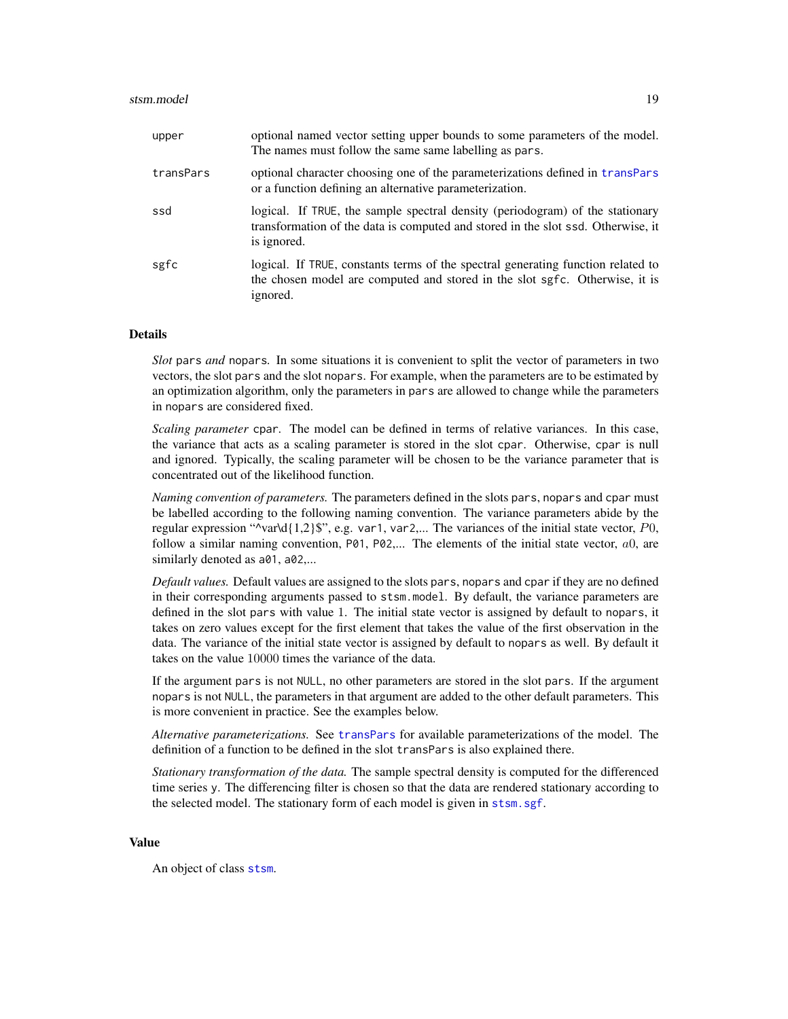<span id="page-18-0"></span>

| upper     | optional named vector setting upper bounds to some parameters of the model.<br>The names must follow the same same labelling as pars.                                            |
|-----------|----------------------------------------------------------------------------------------------------------------------------------------------------------------------------------|
| transPars | optional character choosing one of the parameterizations defined in transpars<br>or a function defining an alternative parameterization.                                         |
| ssd       | logical. If TRUE, the sample spectral density (periodogram) of the stationary<br>transformation of the data is computed and stored in the slot ssd. Otherwise, it<br>is ignored. |
| sgfc      | logical. If TRUE, constants terms of the spectral generating function related to<br>the chosen model are computed and stored in the slot sgfc. Otherwise, it is<br>ignored.      |

# **Details**

*Slot* pars *and* nopars*.* In some situations it is convenient to split the vector of parameters in two vectors, the slot pars and the slot nopars. For example, when the parameters are to be estimated by an optimization algorithm, only the parameters in pars are allowed to change while the parameters in nopars are considered fixed.

*Scaling parameter* cpar*.* The model can be defined in terms of relative variances. In this case, the variance that acts as a scaling parameter is stored in the slot cpar. Otherwise, cpar is null and ignored. Typically, the scaling parameter will be chosen to be the variance parameter that is concentrated out of the likelihood function.

*Naming convention of parameters.* The parameters defined in the slots pars, nopars and cpar must be labelled according to the following naming convention. The variance parameters abide by the regular expression " $\varphi$ var $\mathrm{d}\{1,2\}$ ", e.g. var1, var2,... The variances of the initial state vector, P0, follow a similar naming convention,  $P\emptyset$ 1,  $P\emptyset$ 2,... The elements of the initial state vector,  $a_0$ , are similarly denoted as  $a$ 01,  $a$ 02,...

*Default values.* Default values are assigned to the slots pars, nopars and cpar if they are no defined in their corresponding arguments passed to stsm.model. By default, the variance parameters are defined in the slot pars with value 1. The initial state vector is assigned by default to nopars, it takes on zero values except for the first element that takes the value of the first observation in the data. The variance of the initial state vector is assigned by default to nopars as well. By default it takes on the value 10000 times the variance of the data.

If the argument pars is not NULL, no other parameters are stored in the slot pars. If the argument nopars is not NULL, the parameters in that argument are added to the other default parameters. This is more convenient in practice. See the examples below.

*Alternative parameterizations.* See [transPars](#page-12-1) for available parameterizations of the model. The definition of a function to be defined in the slot transPars is also explained there.

*Stationary transformation of the data.* The sample spectral density is computed for the differenced time series y. The differencing filter is chosen so that the data are rendered stationary according to the selected model. The stationary form of each model is given in [stsm.sgf](#page-20-1).

### Value

An object of class [stsm](#page-4-1).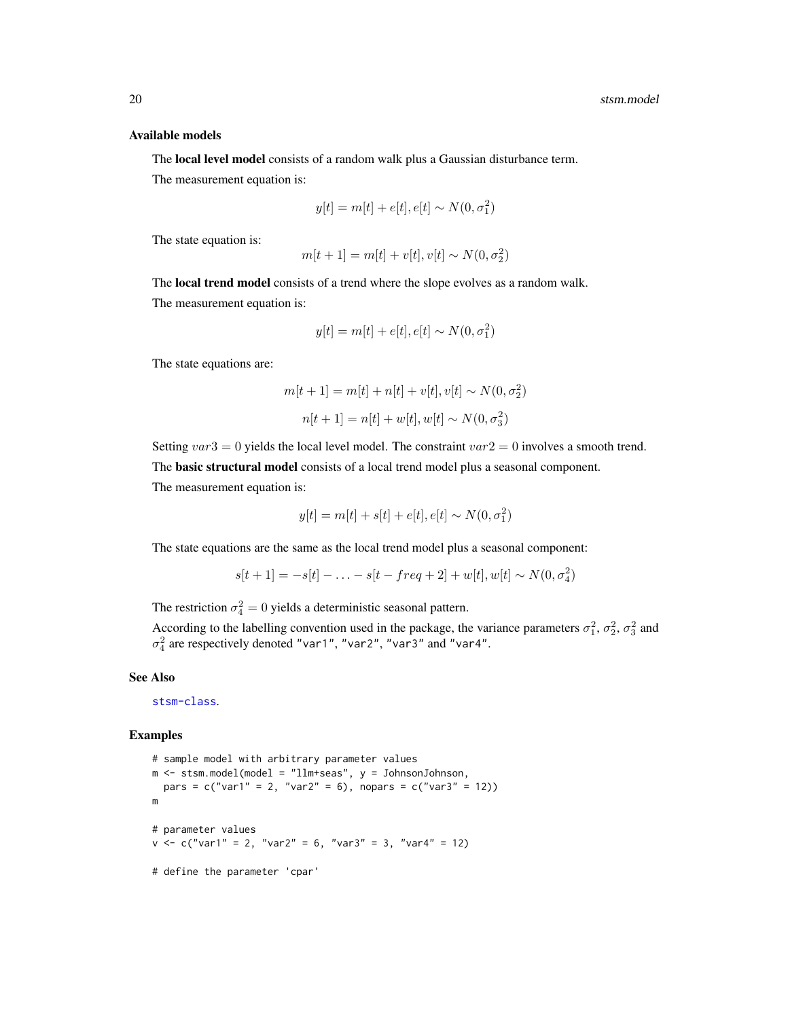#### Available models

The local level model consists of a random walk plus a Gaussian disturbance term.

The measurement equation is:

$$
y[t] = m[t] + e[t], e[t] \sim N(0, \sigma_1^2)
$$

The state equation is:

$$
m[t+1] = m[t] + v[t], v[t] \sim N(0, \sigma_2^2)
$$

The local trend model consists of a trend where the slope evolves as a random walk. The measurement equation is:

$$
y[t] = m[t] + e[t], e[t] \sim N(0, \sigma_1^2)
$$

The state equations are:

$$
m[t+1] = m[t] + n[t] + v[t], v[t] \sim N(0, \sigma_2^2)
$$

$$
n[t+1] = n[t] + w[t], w[t] \sim N(0, \sigma_3^2)
$$

Setting  $var3 = 0$  yields the local level model. The constraint  $var2 = 0$  involves a smooth trend. The basic structural model consists of a local trend model plus a seasonal component.

The measurement equation is:

$$
y[t] = m[t] + s[t] + e[t], e[t] \sim N(0, \sigma_1^2)
$$

The state equations are the same as the local trend model plus a seasonal component:

$$
s[t+1] = -s[t] - \ldots - s[t - freq + 2] + w[t], w[t] \sim N(0, \sigma_4^2)
$$

The restriction  $\sigma_4^2 = 0$  yields a deterministic seasonal pattern.

According to the labelling convention used in the package, the variance parameters  $\sigma_1^2$ ,  $\sigma_2^2$ ,  $\sigma_3^2$  and  $\sigma_4^2$  are respectively denoted "var1", "var2", "var3" and "var4".

# See Also

[stsm-class](#page-4-2).

#### Examples

```
# sample model with arbitrary parameter values
m \le - stsm.model(model = "llm+seas", y = JohnsonJohnson,
 pars = c("var1" = 2, "var2" = 6), nopars = c("var3" = 12))
m
# parameter values
v \leq c("var1" = 2, "var2" = 6, "var3" = 3, "var4" = 12)# define the parameter 'cpar'
```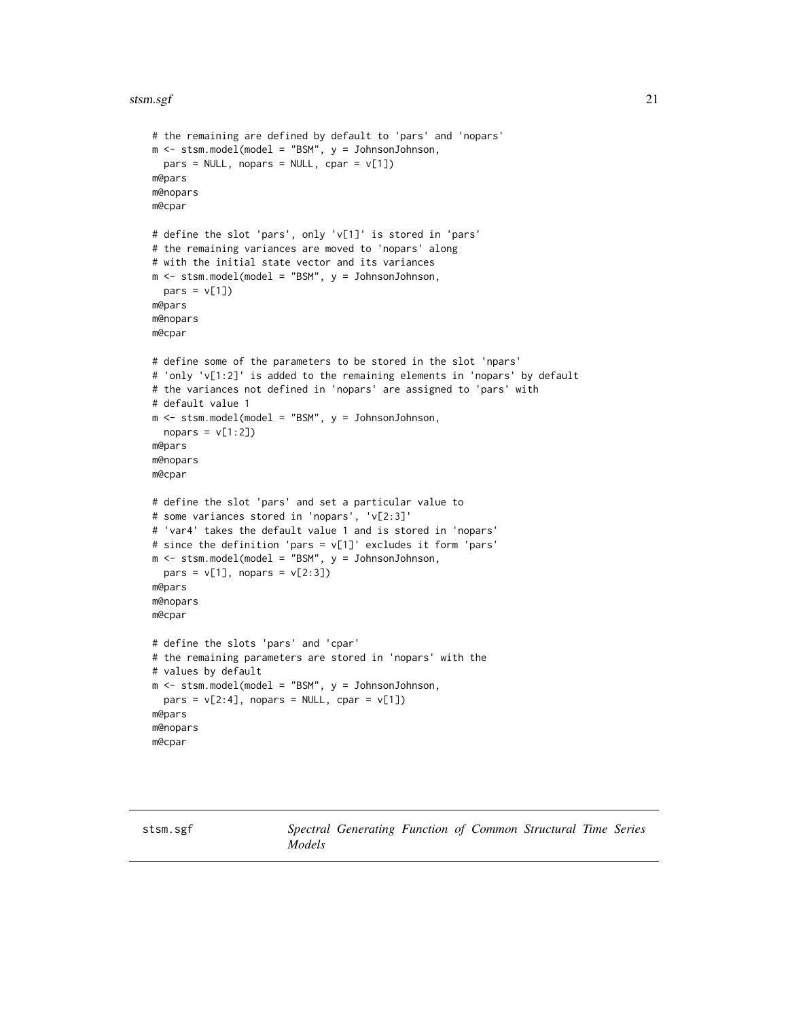# <span id="page-20-0"></span>stsm.sgf 21

```
# the remaining are defined by default to 'pars' and 'nopars'
m <- stsm.model(model = "BSM", y = JohnsonJohnson,
 pars = NULL, nopars = NULL, cpar = v[1])m@pars
m@nopars
m@cpar
# define the slot 'pars', only 'v[1]' is stored in 'pars'
# the remaining variances are moved to 'nopars' along
# with the initial state vector and its variances
m <- stsm.model(model = "BSM", y = JohnsonJohnson,
  pars = v[1])
m@pars
m@nopars
m@cpar
# define some of the parameters to be stored in the slot 'npars'
# 'only 'v[1:2]' is added to the remaining elements in 'nopars' by default
# the variances not defined in 'nopars' are assigned to 'pars' with
# default value 1
m <- stsm.model(model = "BSM", y = JohnsonJohnson,
 nopus = v[1:2])m@pars
m@nopars
m@cpar
# define the slot 'pars' and set a particular value to
# some variances stored in 'nopars', 'v[2:3]'
# 'var4' takes the default value 1 and is stored in 'nopars'
# since the definition 'pars = v[1]' excludes it form 'pars'
m <- stsm.model(model = "BSM", y = JohnsonJohnson,
  pars = v[1], nopars = v[2:3])
m@pars
m@nopars
m@cpar
# define the slots 'pars' and 'cpar'
# the remaining parameters are stored in 'nopars' with the
# values by default
m \le - stsm.model(model = "BSM", y = JohnsonJohnson,
  pars = v[2:4], nopars = NULL, cpar = v[1])
m@pars
m@nopars
m@cpar
```
<span id="page-20-1"></span>stsm.sgf *Spectral Generating Function of Common Structural Time Series Models*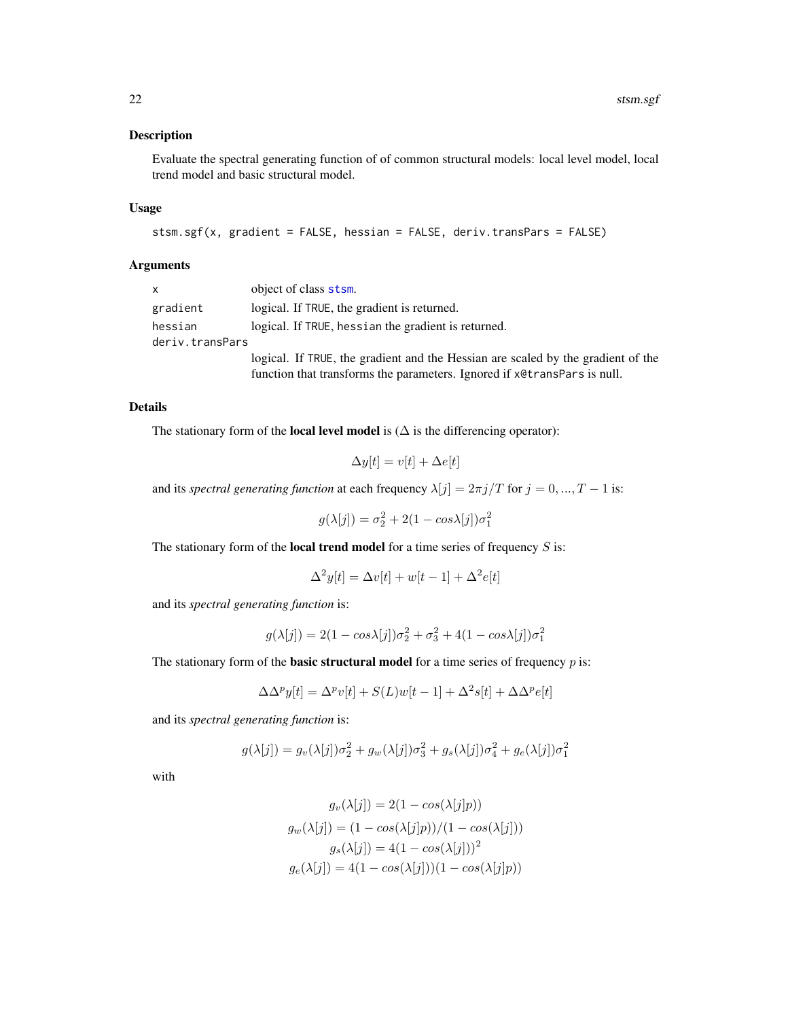# <span id="page-21-0"></span>Description

Evaluate the spectral generating function of of common structural models: local level model, local trend model and basic structural model.

# Usage

```
stsm.sgf(x, gradient = FALSE, hessian = FALSE, deriv.transPars = FALSE)
```
# Arguments

| $\mathsf{x}$               | object of class stsm.                                                                                                                                        |
|----------------------------|--------------------------------------------------------------------------------------------------------------------------------------------------------------|
| gradient                   | logical. If TRUE, the gradient is returned.                                                                                                                  |
| hessian<br>deriv.transPars | logical. If TRUE, hessian the gradient is returned.                                                                                                          |
|                            | logical. If TRUE, the gradient and the Hessian are scaled by the gradient of the<br>function that transforms the parameters. Ignored if x@transPars is null. |

# Details

The stationary form of the **local level model** is ( $\Delta$  is the differencing operator):

$$
\Delta y[t] = v[t] + \Delta e[t]
$$

and its *spectral generating function* at each frequency  $\lambda[j] = 2\pi j/T$  for  $j = 0, ..., T - 1$  is:

 $g(\lambda[j]) = \sigma_2^2 + 2(1 - \cos\lambda[j])\sigma_1^2$ 

The stationary form of the **local trend model** for a time series of frequency  $S$  is:

$$
\Delta^2 y[t] = \Delta v[t] + w[t-1] + \Delta^2 e[t]
$$

and its *spectral generating function* is:

$$
g(\lambda[j]) = 2(1 - \cos\lambda[j])\sigma_2^2 + \sigma_3^2 + 4(1 - \cos\lambda[j])\sigma_1^2
$$

The stationary form of the **basic structural model** for a time series of frequency  $p$  is:

$$
\Delta \Delta^p y[t] = \Delta^p v[t] + S(L)w[t-1] + \Delta^2 s[t] + \Delta \Delta^p e[t]
$$

and its *spectral generating function* is:

$$
g(\lambda[j]) = g_v(\lambda[j])\sigma_2^2 + g_w(\lambda[j])\sigma_3^2 + g_s(\lambda[j])\sigma_4^2 + g_e(\lambda[j])\sigma_1^2
$$

with

$$
g_v(\lambda[j]) = 2(1 - \cos(\lambda[j]p))
$$

$$
g_w(\lambda[j]) = (1 - \cos(\lambda[j]p)) / (1 - \cos(\lambda[j]))
$$

$$
g_s(\lambda[j]) = 4(1 - \cos(\lambda[j]))^2
$$

$$
g_e(\lambda[j]) = 4(1 - \cos(\lambda[j])) (1 - \cos(\lambda[j]p))
$$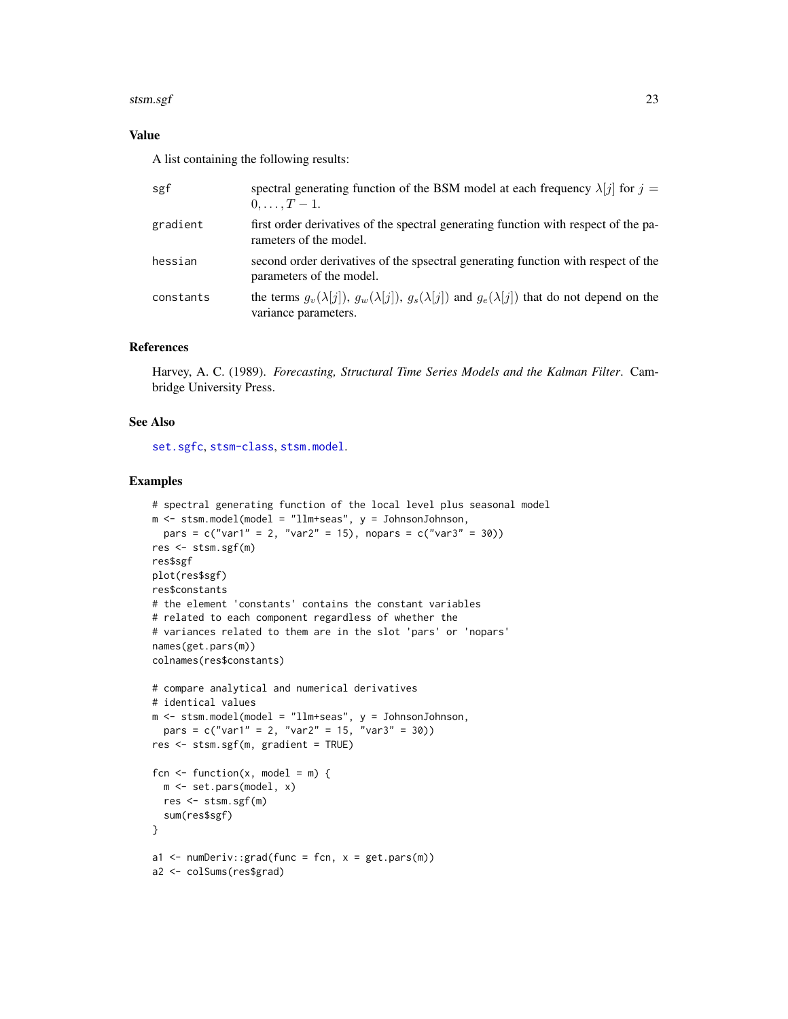# <span id="page-22-0"></span>stsm.sgf 23

# Value

A list containing the following results:

| sgf       | spectral generating function of the BSM model at each frequency $\lambda[j]$ for $j =$<br>$0, \ldots, T-1.$                                 |
|-----------|---------------------------------------------------------------------------------------------------------------------------------------------|
| gradient  | first order derivatives of the spectral generating function with respect of the pa-<br>rameters of the model.                               |
| hessian   | second order derivatives of the spectral generating function with respect of the<br>parameters of the model.                                |
| constants | the terms $g_v(\lambda[j])$ , $g_w(\lambda[j])$ , $g_s(\lambda[j])$ and $g_e(\lambda[j])$ that do not depend on the<br>variance parameters. |

# References

Harvey, A. C. (1989). *Forecasting, Structural Time Series Models and the Kalman Filter*. Cambridge University Press.

# See Also

[set.sgfc](#page-8-1), [stsm-class](#page-4-2), [stsm.model](#page-17-1).

#### Examples

```
# spectral generating function of the local level plus seasonal model
m \le - stsm.model(model = "llm+seas", y = JohnsonJohnson,
 pars = c("var1" = 2, "var2" = 15), nopars = c("var3" = 30))
res <- stsm.sgf(m)
res$sgf
plot(res$sgf)
res$constants
# the element 'constants' contains the constant variables
# related to each component regardless of whether the
# variances related to them are in the slot 'pars' or 'nopars'
names(get.pars(m))
colnames(res$constants)
# compare analytical and numerical derivatives
# identical values
m \le - stsm.model(model = "llm+seas", y = JohnsonJohnson,
 pars = c("var1" = 2, "var2" = 15, "var3" = 30)res <- stsm.sgf(m, gradient = TRUE)
fcn \le function(x, model = m) {
  m <- set.pars(model, x)
  res <- stsm.sgf(m)
  sum(res$sgf)
}
a1 \leq numDeriv:: grad(func = fcn, x = get.pars(m))
a2 <- colSums(res$grad)
```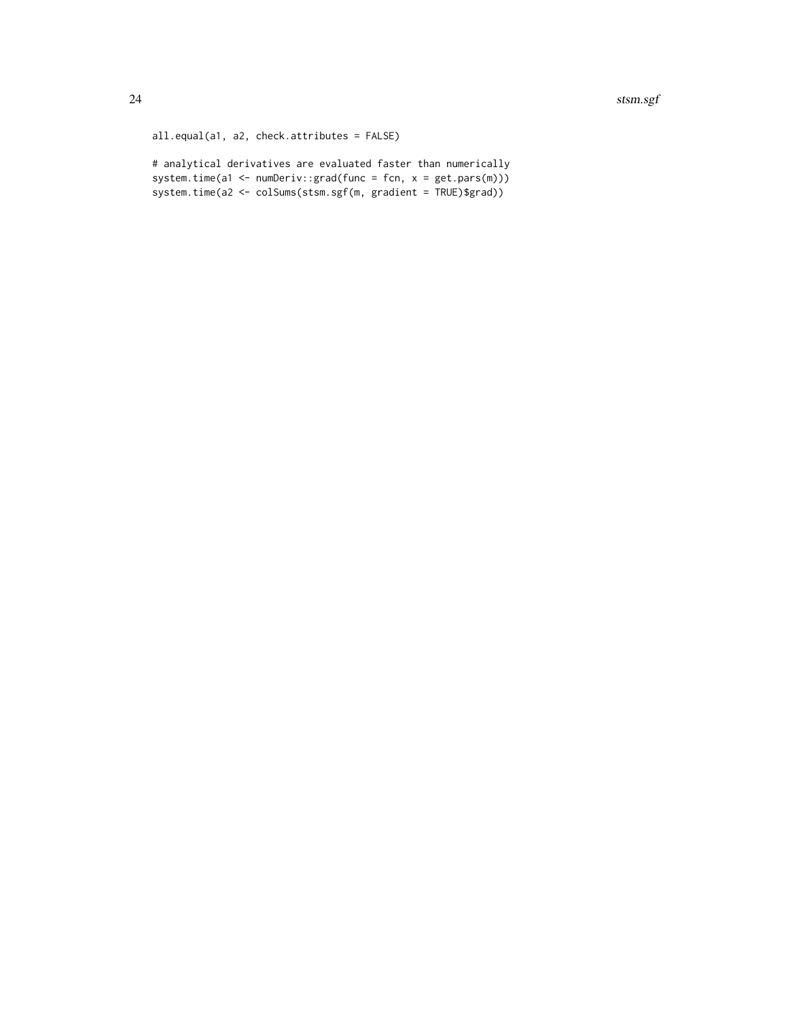```
all.equal(a1, a2, check.attributes = FALSE)
```
# analytical derivatives are evaluated faster than numerically system.time(a1 <- numDeriv::grad(func = fcn, x = get.pars(m))) system.time(a2 <- colSums(stsm.sgf(m, gradient = TRUE)\$grad))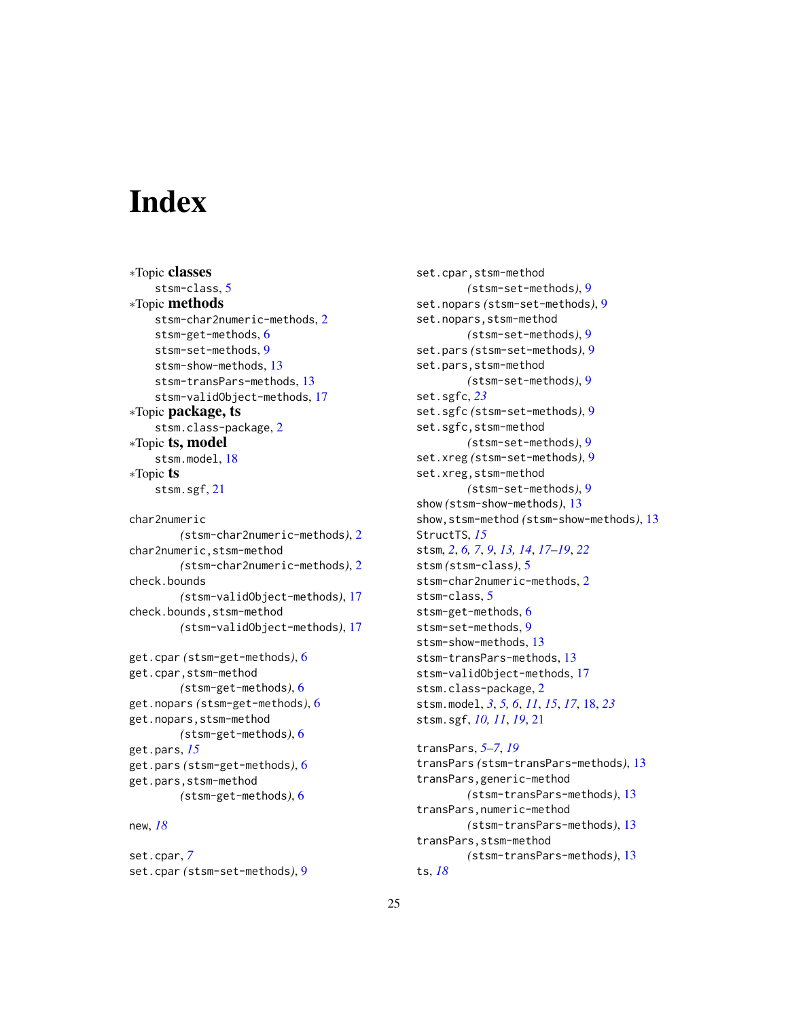# <span id="page-24-0"></span>**Index**

∗Topic classes stsm-class, [5](#page-4-0) ∗Topic methods stsm-char2numeric-methods, [2](#page-1-0) stsm-get-methods, [6](#page-5-0) stsm-set-methods, [9](#page-8-0) stsm-show-methods, [13](#page-12-0) stsm-transPars-methods, [13](#page-12-0) stsm-validObject-methods, [17](#page-16-0) ∗Topic package, ts stsm.class-package, [2](#page-1-0) ∗Topic ts, model stsm.model, [18](#page-17-0) ∗Topic ts stsm.sgf, [21](#page-20-0) char2numeric *(*stsm-char2numeric-methods*)*, [2](#page-1-0) char2numeric,stsm-method *(*stsm-char2numeric-methods*)*, [2](#page-1-0) check.bounds *(*stsm-validObject-methods*)*, [17](#page-16-0) check.bounds,stsm-method *(*stsm-validObject-methods*)*, [17](#page-16-0) get.cpar *(*stsm-get-methods*)*, [6](#page-5-0) get.cpar,stsm-method *(*stsm-get-methods*)*, [6](#page-5-0) get.nopars *(*stsm-get-methods*)*, [6](#page-5-0) get.nopars,stsm-method *(*stsm-get-methods*)*, [6](#page-5-0) get.pars, *[15](#page-14-0)* get.pars *(*stsm-get-methods*)*, [6](#page-5-0) get.pars,stsm-method *(*stsm-get-methods*)*, [6](#page-5-0) new, *[18](#page-17-0)*

set.cpar, *[7](#page-6-0)* set.cpar *(*stsm-set-methods*)*, [9](#page-8-0) set.cpar,stsm-method *(*stsm-set-methods*)*, [9](#page-8-0) set.nopars *(*stsm-set-methods*)*, [9](#page-8-0) set.nopars,stsm-method *(*stsm-set-methods*)*, [9](#page-8-0) set.pars *(*stsm-set-methods*)*, [9](#page-8-0) set.pars,stsm-method *(*stsm-set-methods*)*, [9](#page-8-0) set.sgfc, *[23](#page-22-0)* set.sgfc *(*stsm-set-methods*)*, [9](#page-8-0) set.sgfc,stsm-method *(*stsm-set-methods*)*, [9](#page-8-0) set.xreg *(*stsm-set-methods*)*, [9](#page-8-0) set.xreg,stsm-method *(*stsm-set-methods*)*, [9](#page-8-0) show *(*stsm-show-methods*)*, [13](#page-12-0) show,stsm-method *(*stsm-show-methods*)*, [13](#page-12-0) StructTS, *[15](#page-14-0)* stsm, *[2](#page-1-0)*, *[6,](#page-5-0) [7](#page-6-0)*, *[9](#page-8-0)*, *[13,](#page-12-0) [14](#page-13-0)*, *[17](#page-16-0)[–19](#page-18-0)*, *[22](#page-21-0)* stsm *(*stsm-class*)*, [5](#page-4-0) stsm-char2numeric-methods, [2](#page-1-0) stsm-class, [5](#page-4-0) stsm-get-methods, [6](#page-5-0) stsm-set-methods, [9](#page-8-0) stsm-show-methods, [13](#page-12-0) stsm-transPars-methods, [13](#page-12-0) stsm-validObject-methods, [17](#page-16-0) stsm.class-package, [2](#page-1-0) stsm.model, *[3](#page-2-0)*, *[5,](#page-4-0) [6](#page-5-0)*, *[11](#page-10-0)*, *[15](#page-14-0)*, *[17](#page-16-0)*, [18,](#page-17-0) *[23](#page-22-0)* stsm.sgf, *[10,](#page-9-0) [11](#page-10-0)*, *[19](#page-18-0)*, [21](#page-20-0)

transPars, *[5](#page-4-0)[–7](#page-6-0)*, *[19](#page-18-0)* transPars *(*stsm-transPars-methods*)*, [13](#page-12-0) transPars,generic-method *(*stsm-transPars-methods*)*, [13](#page-12-0) transPars,numeric-method *(*stsm-transPars-methods*)*, [13](#page-12-0) transPars,stsm-method *(*stsm-transPars-methods*)*, [13](#page-12-0) ts, *[18](#page-17-0)*